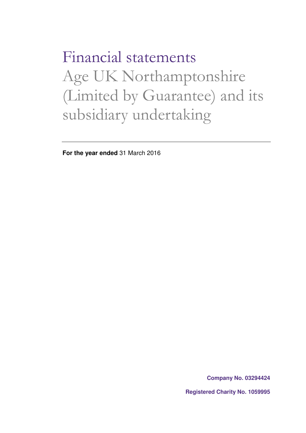Financial statements Age UK Northamptonshire (Limited by Guarantee) and its subsidiary undertaking

**For the year ended** 31 March 2016

**Company No. 03294424**

**Registered Charity No. 1059995**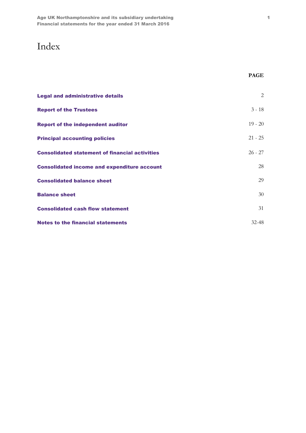## Index

| <b>Legal and administrative details</b>               | 2         |
|-------------------------------------------------------|-----------|
| <b>Report of the Trustees</b>                         | $3 - 18$  |
| <b>Report of the independent auditor</b>              | $19 - 20$ |
| <b>Principal accounting policies</b>                  | $21 - 25$ |
| <b>Consolidated statement of financial activities</b> | $26 - 27$ |
| <b>Consolidated income and expenditure account</b>    | 28        |
| <b>Consolidated balance sheet</b>                     | 29        |
| <b>Balance sheet</b>                                  | 30        |
| <b>Consolidated cash flow statement</b>               | 31        |
| <b>Notes to the financial statements</b>              | $32 - 48$ |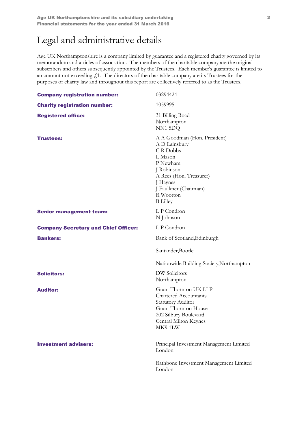## Legal and administrative details

Age UK Northamptonshire is a company limited by guarantee and a registered charity governed by its memorandum and articles of association. The members of the charitable company are the original subscribers and others subsequently appointed by the Trustees. Each member's guarantee is limited to an amount not exceeding  $f<sub>1</sub>$ . The directors of the charitable company are its Trustees for the purposes of charity law and throughout this report are collectively referred to as the Trustees.

| <b>Company registration number:</b>         | 03294424                                                                                                                                                                                       |  |  |  |  |  |
|---------------------------------------------|------------------------------------------------------------------------------------------------------------------------------------------------------------------------------------------------|--|--|--|--|--|
| <b>Charity registration number:</b>         | 1059995                                                                                                                                                                                        |  |  |  |  |  |
| <b>Registered office:</b>                   | 31 Billing Road<br>Northampton<br>NN1 5DQ                                                                                                                                                      |  |  |  |  |  |
| <b>Trustees:</b>                            | A A Goodman (Hon. President)<br>A D Lainsbury<br>CR Dobbs<br>L Mason<br>P Newham<br>J Robinson<br>A Rees (Hon. Treasurer)<br>J Haynes<br>J Faulkner (Chairman)<br>R Wootton<br><b>B</b> Lilley |  |  |  |  |  |
| <b>Senior management team:</b>              | L P Condron<br>N Johnson                                                                                                                                                                       |  |  |  |  |  |
| <b>Company Secretary and Chief Officer:</b> | L P Condron                                                                                                                                                                                    |  |  |  |  |  |
| <b>Bankers:</b>                             | Bank of Scotland, Edinburgh                                                                                                                                                                    |  |  |  |  |  |
|                                             | Santander, Bootle                                                                                                                                                                              |  |  |  |  |  |
|                                             | Nationwide Building Society, Northampton                                                                                                                                                       |  |  |  |  |  |
| <b>Solicitors:</b>                          | <b>DW</b> Solicitors<br>Northampton                                                                                                                                                            |  |  |  |  |  |
|                                             |                                                                                                                                                                                                |  |  |  |  |  |
| <b>Auditor:</b>                             | Grant Thornton UK LLP<br><b>Chartered Accountants</b><br><b>Statutory Auditor</b><br><b>Grant Thornton House</b><br>202 Silbury Boulevard<br>Central Milton Keynes<br>MK91LW                   |  |  |  |  |  |
| <b>Investment advisers:</b>                 | Principal Investment Management Limited<br>London                                                                                                                                              |  |  |  |  |  |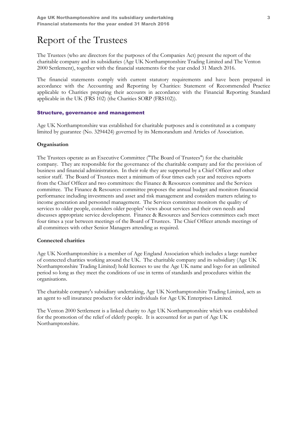## Report of the Trustees

The Trustees (who are directors for the purposes of the Companies Act) present the report of the charitable company and its subsidiaries (Age UK Northamptonshire Trading Limited and The Venton 2000 Settlement), together with the financial statements for the year ended 31 March 2016.

The financial statements comply with current statutory requirements and have been prepared in accordance with the Accounting and Reporting by Charities: Statement of Recommended Practice applicable to Charities preparing their accounts in accordance with the Financial Reporting Standard applicable in the UK (FRS 102) (the Charities SORP (FRS102)).

#### Structure, governance and management

Age UK Northamptonshire was established for charitable purposes and is constituted as a company limited by guarantee (No. 3294424) governed by its Memorandum and Articles of Association.

#### **Organisation**

The Trustees operate as an Executive Committee ("The Board of Trustees") for the charitable company. They are responsible for the governance of the charitable company and for the provision of business and financial administration. In their role they are supported by a Chief Officer and other senior staff. The Board of Trustees meet a minimum of four times each year and receives reports from the Chief Officer and two committees: the Finance & Resources committee and the Services committee. The Finance & Resources committee proposes the annual budget and monitors financial performance including investments and asset and risk management and considers matters relating to income generation and personnel management. The Services committee monitors the quality of services to older people, considers older peoples' views about services and their own needs and discusses appropriate service development. Finance & Resources and Services committees each meet four times a year between meetings of the Board of Trustees. The Chief Officer attends meetings of all committees with other Senior Managers attending as required.

#### Connected charities

Age UK Northamptonshire is a member of Age England Association which includes a large number of connected charities working around the UK. The charitable company and its subsidiary (Age UK Northamptonshire Trading Limited) hold licenses to use the Age UK name and logo for an unlimited period so long as they meet the conditions of use in terms of standards and procedures within the organisations.

The charitable company's subsidiary undertaking, Age UK Northamptonshire Trading Limited, acts as an agent to sell insurance products for older individuals for Age UK Enterprises Limited.

The Venton 2000 Settlement is a linked charity to Age UK Northamptonshire which was established for the promotion of the relief of elderly people. It is accounted for as part of Age UK Northamptonshire.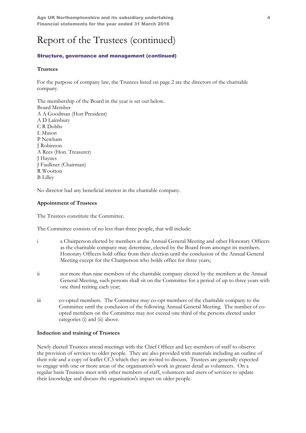Age UK Northamptonshire and its subsidiary undertaking  $4\,$ Financial statements for the year ended 31 March 2016

## Report of the Trustees (continued)

#### Structure, governance and management (continued)

#### **Trustees**

For the purpose of company law, the Trustees listed on page 2 are the directors of the charitable company.

The membership of the Board in the year is set out below. Board Member A A Goodman (Hon President) A D Lainsbury C R Dobbs L Mason P Newham J Robinson A Rees (Hon. Treasurer) J Haynes J Faulkner (Chairman) R Wootton B Lilley

No director had any beneficial interest in the charitable company.

#### Appointment of Trustees

The Trustees constitute the Committee.

The Committee consists of no less than three people, that will include:

- i a Chairperson elected by members at the Annual General Meeting and other Honorary Officers as the charitable company may determine, elected by the Board from amongst its members. Honorary Officers hold office from their election until the conclusion of the Annual General Meeting except for the Chairperson who holds office for three years;
- ii not more than nine members of the charitable company elected by the members at the Annual General Meeting, such persons shall sit on the Committee for a period of up to three years with one third retiring each year;
- iii co-opted members. The Committee may co-opt members of the charitable company to the Committee until the conclusion of the following Annual General Meeting. The number of coopted members on the Committee may not exceed one third of the persons elected under categories (i) and (ii) above.

#### Induction and training of Trustees

Newly elected Trustees attend meetings with the Chief Officer and key members of staff to observe the provision of services to older people. They are also provided with materials including an outline of their role and a copy of leaflet CC3 which they are invited to discuss. Trustees are generally expected to engage with one or more areas of the organisation's work in greater detail as volunteers. On a regular basis Trustees meet with other members of staff, volunteers and users of services to update their knowledge and discuss the organisation's impact on older people.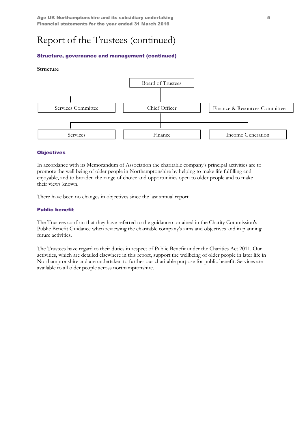### Structure, governance and management (continued)

#### Structure



#### **Objectives**

In accordance with its Memorandum of Association the charitable company's principal activities are to promote the well being of older people in Northamptonshire by helping to make life fulfilling and enjoyable, and to broaden the range of choice and opportunities open to older people and to make their views known.

There have been no changes in objectives since the last annual report.

#### Public benefit

The Trustees confirm that they have referred to the guidance contained in the Charity Commission's Public Benefit Guidance when reviewing the charitable company's aims and objectives and in planning future activities.

The Trustees have regard to their duties in respect of Public Benefit under the Charities Act 2011. Our activities, which are detailed elsewhere in this report, support the wellbeing of older people in later life in Northamptonshire and are undertaken to further our charitable purpose for public benefit. Services are available to all older people across northamptonshire.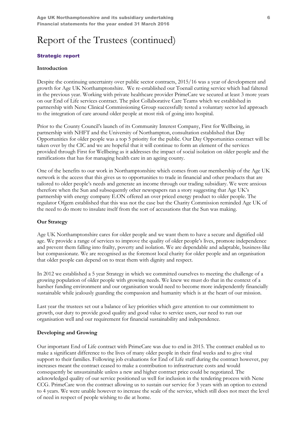#### Strategic report

#### Introduction

Despite the continuing uncertainty over public sector contracts, 2015/16 was a year of development and growth for Age UK Northamptonshire. We re-established our Toenail cutting service which had faltered in the previous year. Working with private healthcare provider PrimeCare we secured at least 3 more years on our End of Life services contract. The pilot Collaborative Care Teams which we established in partnership with Nene Clinical Commissioning Group successfully tested a voluntary sector led approach to the integration of care around older people at most risk of going into hospital.

Prior to the County Council's launch of its Community Interest Company, First for Wellbeing, in partnership with NHFT and the University of Northampton, consultation established that Day Opportunities for older people was a top 5 priority for the public. Our Day Opportunities contract will be taken over by the CIC and we are hopeful that it will continue to form an element of the services provided through First for Wellbeing as it addresses the impact of social isolation on older people and the ramifications that has for managing health care in an ageing county.

One of the benefits to our work in Northamptonshire which comes from our membership of the Age UK network is the access that this gives us to opportunities to trade in financial and other products that are tailored to older people's needs and generate an income through our trading subsidiary. We were anxious therefore when the Sun and subsequently other newspapers ran a story suggesting that Age UK's partnership with energy company E.ON offered an over priced energy product to older people. The regulator Ofgem established that this was not the case but the Charity Commission reminded Age UK of the need to do more to insulate itself from the sort of accusations that the Sun was making.

#### Our Strategy

Age UK Northamptonshire cares for older people and we want them to have a secure and dignified old age. We provide a range of services to improve the quality of older people's lives, promote independence and prevent them falling into frailty, poverty and isolation. We are dependable and adaptable, business-like but compassionate. We are recognised as the foremost local charity for older people and an organisation that older people can depend on to treat them with dignity and respect.

In 2012 we established a 5 year Strategy in which we committed ourselves to meeting the challenge of a growing population of older people with growing needs. We knew we must do that in the context of a harsher funding environment and our organisation would need to become more independently financially sustainable while jealously guarding the compassion and humanity which is at the heart of our mission.

Last year the trustees set out a balance of key priorities which gave attention to our commitment to growth, our duty to provide good quality and good value to service users, our need to run our organisation well and our requirement for financial sustainability and independence.

### Developing and Growing

Our important End of Life contract with PrimeCare was due to end in 2015. The contract enabled us to make a significant difference to the lives of many older people in their final weeks and to give vital support to their families. Following job evaluations for End of Life staff during the contract however, pay increases meant the contract ceased to make a contribution to infrastructure costs and would consequently be unsustainable unless a new and higher contract price could be negotiated. The acknowledged quality of our service positioned us well for inclusion in the tendering process with Nene CCG. PrimeCare won the contract allowing us to sustain our service for 3 years with an option to extend to 4 years. We were unable however to increase the scale of the service, which still does not meet the level of need in respect of people wishing to die at home.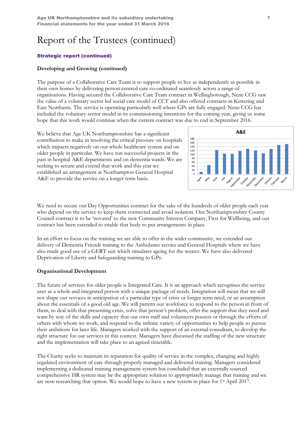### Strategic report (continued)

### Developing and Growing (continued)

The purpose of a Collaborative Care Team is to support people to live as independently as possible in their own homes by delivering person centred care co-ordinated seamlessly across a range of organisations. Having secured the Collaborative Care Team contract in Wellingborough, Nene CCG saw the value of a voluntary sector led social care model of CCT and also offered contracts in Kettering and East Northants. The service is operating particularly well where GPs are fully engaged. Nene CCG has included the voluntary sector model in its commissioning intentions for the coming year, giving us some hope that this work would continue when the current contract was due to end in September 2016.

We believe that Age UK Northamptonshire has a significant contribution to make in resolving the critical pressure on hospitals which impacts negatively on our whole healthcare system and on older people in particular. We have run successful projects in the past in hospital A&E departments and on dementia wards. We are seeking to secure and extend that work and this year we established an arrangement at Northampton General Hospital A&E to provide the service on a longer term basis.



We need to secure our Day Opportunities contract for the sake of the hundreds of older people each year who depend on the service to keep them connected and avoid isolation. Our Northamptonshire County Council contract is to be 'novated' to the new Community Interest Company, First for Wellbeing, and our contract has been extended to enable that body to put arrangements in place.

In an effort to focus on the training we are able to offer in the wider community, we extended our delivery of Dementia Friends training to the Ambulance service and General Hospitals where we have also made good use of a GERT suit which simulates ageing for the wearer. We have also delivered Deprivation of Liberty and Safeguarding training to GPs.

#### Organisational Development

The future of services for older people is Integrated Care. It is an approach which recognises the service user as a whole and integrated person with a unique package of needs. Integration will mean that we will not shape our services in anticipation of a particular type of crisis or longer term need, or an assumption about the essentials of a good old age. We will pattern our workforce to respond to the person in front of them, to deal with that presenting crisis, solve that person's problem, offer the support that they need and want by way of the skills and capacity that our own staff and volunteers possess or through the efforts of others with whom we work, and respond to the infinite variety of opportunities to help people to pursue their ambitions for later life. Managers worked with the support of an external consultant, to develop the right structure for our services in this context. Managers have discussed the staffing of the new structure and the implementation will take place to an agreed timetable.

The Charity seeks to maintain its reputation for quality of service in the complex, changing and highly regulated environment of care through properly managed and delivered training. Managers considered implementing a dedicated training management system but concluded that an externally sourced comprehensive HR system may be the appropriate solution to appropriately manage that training and we are now researching that option. We would hope to have a new system in place for 1st April 2017.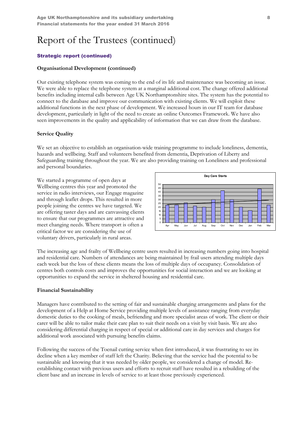### Strategic report (continued)

### Organisational Development (continued)

Our existing telephone system was coming to the end of its life and maintenance was becoming an issue. We were able to replace the telephone system at a marginal additional cost. The change offered additional benefits including internal calls between Age UK Northamptonshire sites. The system has the potential to connect to the database and improve our communication with existing clients. We will exploit these additional functions in the next phase of development. We increased hours in our IT team for database development, particularly in light of the need to create an online Outcomes Framework. We have also seen improvements in the quality and applicability of information that we can draw from the database.

### Service Quality

We set an objective to establish an organisation-wide training programme to include loneliness, dementia, hazards and wellbeing. Staff and volunteers benefited from dementia, Deprivation of Liberty and Safeguarding training throughout the year. We are also providing training on Loneliness and professional and personal boundaries.

We started a programme of open days at Wellbeing centres this year and promoted the service in radio interviews, our Engage magazine and through leaflet drops. This resulted in more people joining the centres we have targeted. We are offering taster days and are canvassing clients to ensure that our programmes are attractive and meet changing needs. Where transport is often a critical factor we are considering the use of voluntary drivers, particularly in rural areas.



The increasing age and frailty of Wellbeing centre users resulted in increasing numbers going into hospital and residential care. Numbers of attendances are being maintained by frail users attending multiple days each week but the loss of these clients means the loss of multiple days of occupancy. Consolidation of centres both controls costs and improves the opportunities for social interaction and we are looking at opportunities to expand the service in sheltered housing and residential care.

#### Financial Sustainability

Managers have contributed to the setting of fair and sustainable charging arrangements and plans for the development of a Help at Home Service providing multiple levels of assistance ranging from everyday domestic duties to the cooking of meals, befriending and more specialist areas of work. The client or their carer will be able to tailor make their care plan to suit their needs on a visit by visit basis. We are also considering differential charging in respect of special or additional care in day services and charges for additional work associated with pursuing benefits claims.

Following the success of the Toenail cutting service when first introduced, it was frustrating to see its decline when a key member of staff left the Charity. Believing that the service had the potential to be sustainable and knowing that it was needed by older people, we considered a change of model. Reestablishing contact with previous users and efforts to recruit staff have resulted in a rebuilding of the client base and an increase in levels of service to at least those previously experienced.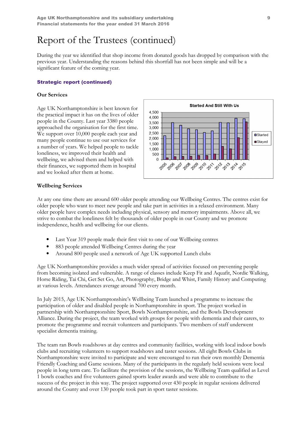During the year we identified that shop income from donated goods has dropped by comparison with the previous year. Understanding the reasons behind this shortfall has not been simple and will be a significant feature of the coming year.

#### Strategic report (continued)

#### Our Services

Age UK Northamptonshire is best known for the practical impact it has on the lives of older people in the County. Last year 3380 people approached the organisation for the first time. We support over 10,000 people each year and many people continue to use our services for a number of years. We helped people to tackle loneliness, we improved their health and wellbeing, we advised them and helped with their finances, we supported them in hospital and we looked after them at home.



#### Wellbeing Services

At any one time there are around 600 older people attending our Wellbeing Centres. The centres exist for older people who want to meet new people and take part in activities in a relaxed environment. Many older people have complex needs including physical, sensory and memory impairments. Above all, we strive to combat the loneliness felt by thousands of older people in our County and we promote independence, health and wellbeing for our clients.

- Last Year 319 people made their first visit to one of our Wellbeing centres
- 883 people attended Wellbeing Centres during the year
- Around 800 people used a network of Age UK supported Lunch clubs

Age UK Northamptonshire provides a much wider spread of activities focused on preventing people from becoming isolated and vulnerable. A range of classes include Keep Fit and Aquafit, Nordic Walking, Horse Riding, Tai Chi, Get Set Go, Art, Photography, Bridge and Whist, Family History and Computing at various levels. Attendances average around 700 every month.

In July 2015, Age UK Northamptonshire's Wellbeing Team launched a programme to increase the participation of older and disabled people in Northamptonshire in sport. The project worked in partnership with Northamptonshire Sport, Bowls Northamptonshire, and the Bowls Development Alliance. During the project, the team worked with groups for people with dementia and their carers, to promote the programme and recruit volunteers and participants. Two members of staff underwent specialist dementia training.

The team ran Bowls roadshows at day centres and community facilities, working with local indoor bowls clubs and recruiting volunteers to support roadshows and taster sessions. All eight Bowls Clubs in Northamptonshire were invited to participate and were encouraged to run their own monthly Dementia Friendly Coaching and Game sessions. Many of the participants in the regularly held sessions were local people in long term care. To facilitate the provision of the sessions, the Wellbeing Team qualified as Level 1 bowls coaches and five volunteers gained sports leader awards and were able to contribute to the success of the project in this way. The project supported over 430 people in regular sessions delivered around the County and over 130 people took part in sport taster sessions.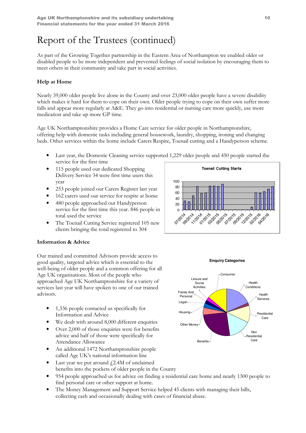As part of the Growing Together partnership in the Eastern Area of Northampton we enabled older or disabled people to be more independent and prevented feelings of social isolation by encouraging them to meet others in their community and take part in social activities.

## Help at Home

Nearly 39,000 older people live alone in the County and over 23,000 older people have a severe disability which makes it hard for them to cope on their own. Older people trying to cope on their own suffer more falls and appear more regularly at A&E. They go into residential or nursing care more quickly, use more medication and take up more GP time.

Age UK Northamptonshire provides a Home Care service for older people in Northamptonshire, offering help with domestic tasks including general housework, laundry, shopping, ironing and changing beds. Other services within the home include Carers Respite, Toenail cutting and a Handyperson scheme.

- Last year, the Domestic Cleaning service supported 1,229 older people and 450 people started the service for the first time
- 115 people used our dedicated Shopping Delivery Service 34 were first time users this year
- 253 people joined our Carers Register last year
- 162 carers used our service for respite at home
- 480 people approached our Handyperson service for the first time this year. 846 people in total used the service
- The Toenail Cutting Service registered 105 new clients bringing the total registered to 304



Our trained and committed Advisors provide access to good quality, targeted advice which is essential to the well-being of older people and a common offering for all Age UK organisations. Most of the people who approached Age UK Northamptonshire for a variety of services last year will have spoken to one of our trained advisors.

- 1,336 people contacted us specifically for Information and Advice
- We dealt with around 8,000 different enquiries
- Over 2,000 of those enquiries were for benefits advice and half of those were specifically for Attendance Allowance
- An additional 1472 Northamptonshire people called Age UK's national information line
- Last year we put around  $f$ , 2.4M of unclaimed benefits into the pockets of older people in the County
- 954 people approached us for advice on finding a residential care home and nearly 1300 people to find personal care or other support at home.
- The Money Management and Support Service helped 45 clients with managing their bills, collecting cash and occasionally dealing with cases of financial abuse.



**Enquiry Categories**

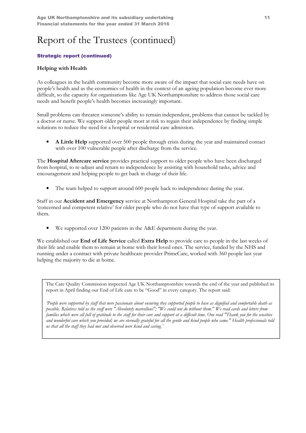## Strategic report (continued)

### Helping with Health

As colleagues in the health community become more aware of the impact that social care needs have on people's health and as the economics of health in the context of an ageing population become ever more difficult, so the capacity for organisations like Age UK Northamptonshire to address those social care needs and benefit people's health becomes increasingly important.

Small problems can threaten someone's ability to remain independent, problems that cannot be tackled by a doctor or nurse. We support older people most at risk to regain their independence by finding simple solutions to reduce the need for a hospital or residential care admission.

• A Little Help supported over 500 people through crisis during the year and maintained contact with over 100 vulnerable people after discharge from the service.

The Hospital Aftercare service provides practical support to older people who have been discharged from hospital, to re-adjust and return to independence by assisting with household tasks, advice and encouragement and helping people to get back in charge of their life.

The team helped to support around 600 people back to independence during the year.

Staff in our Accident and Emergency service at Northampton General Hospital take the part of a 'concerned and competent relative' for older people who do not have that type of support available to them.

• We supported over 1200 patients in the A&E department during the year.

We established our **End of Life Service** called **Extra Help** to provide care to people in the last weeks of their life and enable them to remain at home with their loved ones. The service, funded by the NHS and running under a contract with private healthcare provider PrimeCare, worked with 360 people last year helping the majority to die at home.

The Care Quality Commission inspected Age UK Northamptonshire towards the end of the year and published its report in April finding our End of Life care to be "Good" in every category. The report said:

'People were supported by staff that were passionate about ensuring they supported people to have as dignified and comfortable death as possible. Relatives told us the staff were "Absolutely marvellous"; "We could not do without them." We read cards and letters from families which were all full of gratitude to the staff for their care and support at a difficult time. One read "Thank you for the sensitive and wonderful care which you provided; we are eternally grateful for all the gentle and kind people who came." Health professionals told us that all the staff they had met and observed were kind and caring.'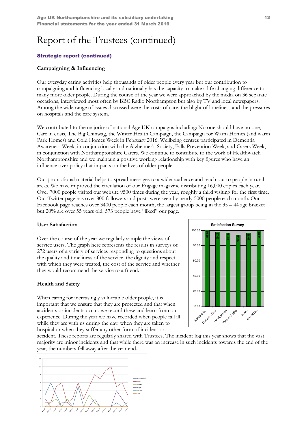### Strategic report (continued)

### Campaigning & Influencing

Our everyday caring activities help thousands of older people every year but our contribution to campaigning and influencing locally and nationally has the capacity to make a life changing difference to many more older people. During the course of the year we were approached by the media on 36 separate occasions, interviewed most often by BBC Radio Northampton but also by TV and local newspapers. Among the wide range of issues discussed were the costs of care, the blight of loneliness and the pressures on hospitals and the care system.

We contributed to the majority of national Age UK campaigns including: No one should have no one, Care in crisis, The Big Chinwag, the Winter Health Campaign, the Campaign for Warm Homes (and warm Park Homes) and Cold Homes Week in February 2016. Wellbeing centres participated in Dementia Awareness Week, in conjunction with the Alzheimer's Society, Falls Prevention Week, and Carers Week, in conjunction with Northamptonshire Carers. We continue to contribute to the work of Healthwatch Northamptonshire and we maintain a positive working relationship with key figures who have an influence over policy that impacts on the lives of older people.

Our promotional material helps to spread messages to a wider audience and reach out to people in rural areas. We have improved the circulation of our Engage magazine distributing 16,000 copies each year. Over 7000 people visited our website 9500 times during the year, roughly a third visiting for the first time. Our Twitter page has over 800 followers and posts were seen by nearly 5000 people each month. Our Facebook page reaches over 3400 people each month, the largest group being in the 35 – 44 age bracket but 20% are over 55 years old. 573 people have "liked" our page.

#### User Satisfaction

Over the course of the year we regularly sample the views of service users. The graph here represents the results in surveys of 272 users of a variety of services responding to questions about the quality and timeliness of the service, the dignity and respect with which they were treated, the cost of the service and whether they would recommend the service to a friend.

#### Health and Safety

When caring for increasingly vulnerable older people, it is important that we ensure that they are protected and that when accidents or incidents occur, we record these and learn from our experience. During the year we have recorded when people fall ill while they are with us during the day, when they are taken to hospital or when they suffer any other form of incident or



accident. These reports are regularly shared with Trustees. The incident log this year shows that the vast majority are minor incidents and that while there was an increase in such incidents towards the end of the year, the numbers fell away after the year end.

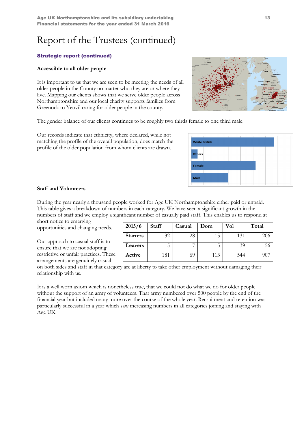Age UK Northamptonshire and its subsidiary undertaking 13 Financial statements for the year ended 31 March 2016

## Report of the Trustees (continued)

### Strategic report (continued)

#### Accessible to all older people

It is important to us that we are seen to be meeting the needs of all older people in the County no matter who they are or where they live. Mapping our clients shows that we serve older people across Northamptonshire and our local charity supports families from Greenock to Yeovil caring for older people in the county.

The gender balance of our clients continues to be roughly two thirds female to one third male.

Our records indicate that ethnicity, where declared, while not matching the profile of the overall population, does match the profile of the older population from whom clients are drawn.

#### Staff and Volunteers

During the year nearly a thousand people worked for Age UK Northamptonshire either paid or unpaid. This table gives a breakdown of numbers in each category. We have seen a significant growth in the numbers of staff and we employ a significant number of casually paid staff. This enables us to respond at

short notice to emerging opportunities and changing needs.

Our approach to casual staff is to ensure that we are not adopting restrictive or unfair practices. These arrangements are genuinely casual

on both sides and staff in that category are at liberty to take other employment without damaging their relationship with us.

It is a well worn axiom which is nonetheless true, that we could not do what we do for older people without the support of an army of volunteers. That army numbered over 500 people by the end of the financial year but included many more over the course of the whole year. Recruitment and retention was particularly successful in a year which saw increasing numbers in all categories joining and staying with Age UK.

| 2015/6          | <b>Staff</b> | Casual | Dom | Vol | Total |
|-----------------|--------------|--------|-----|-----|-------|
| <b>Starters</b> | 32           | 28     | 15  | 131 | 206   |
| Leavers         |              |        |     | 39  | 56    |
| Active          | 181          | 69     | 113 | 544 | 907   |





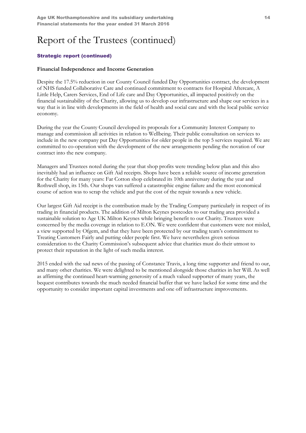### Strategic report (continued)

### Financial Independence and Income Generation

Despite the 17.5% reduction in our County Council funded Day Opportunities contract, the development of NHS funded Collaborative Care and continued commitment to contracts for Hospital Aftercare, A Little Help, Carers Services, End of Life care and Day Opportunities, all impacted positively on the financial sustainability of the Charity, allowing us to develop our infrastructure and shape our services in a way that is in line with developments in the field of health and social care and with the local public service economy.

During the year the County Council developed its proposals for a Community Interest Company to manage and commission all activities in relation to Wellbeing. Their public consultation on services to include in the new company put Day Opportunities for older people in the top 5 services required. We are committed to co-operation with the development of the new arrangements pending the novation of our contract into the new company.

Managers and Trustees noted during the year that shop profits were trending below plan and this also inevitably had an influence on Gift Aid receipts. Shops have been a reliable source of income generation for the Charity for many years: Far Cotton shop celebrated its 10th anniversary during the year and Rothwell shop, its 15th. Our shops van suffered a catastrophic engine failure and the most economical course of action was to scrap the vehicle and put the cost of the repair towards a new vehicle.

Our largest Gift Aid receipt is the contribution made by the Trading Company particularly in respect of its trading in financial products. The addition of Milton Keynes postcodes to our trading area provided a sustainable solution to Age UK Milton Keynes while bringing benefit to our Charity. Trustees were concerned by the media coverage in relation to E.ON. We were confident that customers were not misled, a view supported by Ofgem, and that they have been protected by our trading team's commitment to Treating Customers Fairly and putting older people first. We have nevertheless given serious consideration to the Charity Commission's subsequent advice that charities must do their utmost to protect their reputation in the light of such media interest.

2015 ended with the sad news of the passing of Constance Travis, a long time supporter and friend to our, and many other charities. We were delighted to be mentioned alongside those charities in her Will. As well as affirming the continued heart-warming generosity of a much valued supporter of many years, the bequest contributes towards the much needed financial buffer that we have lacked for some time and the opportunity to consider important capital investments and one off infrastructure improvements.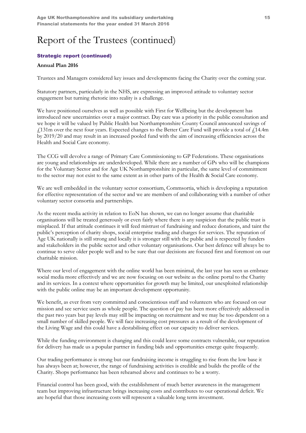## Strategic report (continued)

#### Annual Plan 2016

Trustees and Managers considered key issues and developments facing the Charity over the coming year.

Statutory partners, particularly in the NHS, are expressing an improved attitude to voluntary sector engagement but turning rhetoric into reality is a challenge.

We have positioned ourselves as well as possible with First for Wellbeing but the development has introduced new uncertainties over a major contract. Day care was a priority in the public consultation and we hope it will be valued by Public Health but Northamptonshire County Council announced savings of  $£131m$  over the next four years. Expected changes to the Better Care Fund will provide a total of  $£14.4m$ by 2019/20 and may result in an increased pooled fund with the aim of increasing efficiencies across the Health and Social Care economy.

The CCG will devolve a range of Primary Care Commissioning to GP Federations. These organisations are young and relationships are underdeveloped. While there are a number of GPs who will be champions for the Voluntary Sector and for Age UK Northamptonshire in particular, the same level of commitment to the sector may not exist to the same extent as in other parts of the Health & Social Care economy.

We are well embedded in the voluntary sector consortium, Commsortia, which is developing a reputation for effective representation of the sector and we are members of and collaborating with a number of other voluntary sector consortia and partnerships.

As the recent media activity in relation to EoN has shown, we can no longer assume that charitable organisations will be treated generously or even fairly where there is any suspicion that the public trust is misplaced. If that attitude continues it will feed mistrust of fundraising and reduce donations, and taint the public's perception of charity shops, social enterprise trading and charges for services. The reputation of Age UK nationally is still strong and locally it is stronger still with the public and is respected by funders and stakeholders in the public sector and other voluntary organisations. Our best defence will always be to continue to serve older people well and to be sure that our decisions are focused first and foremost on our charitable mission.

Where our level of engagement with the online world has been minimal, the last year has seen us embrace social media more effectively and we are now focusing on our website as the online portal to the Charity and its services. In a context where opportunities for growth may be limited, our unexploited relationship with the public online may be an important development opportunity.

We benefit, as ever from very committed and conscientious staff and volunteers who are focused on our mission and see service users as whole people. The question of pay has been more effectively addressed in the past two years but pay levels may still be impacting on recruitment and we may be too dependent on a small number of skilled people. We will face increasing cost pressures as a result of the development of the Living Wage and this could have a destabilising effect on our capacity to deliver services.

While the funding environment is changing and this could leave some contracts vulnerable, our reputation for delivery has made us a popular partner in funding bids and opportunities emerge quite frequently.

Our trading performance is strong but our fundraising income is struggling to rise from the low base it has always been at; however, the range of fundraising activities is credible and builds the profile of the Charity. Shops performance has been rehearsed above and continues to be a worry.

Financial control has been good, with the establishment of much better awareness in the management team but improving infrastructure brings increasing costs and contributes to our operational deficit. We are hopeful that those increasing costs will represent a valuable long term investment.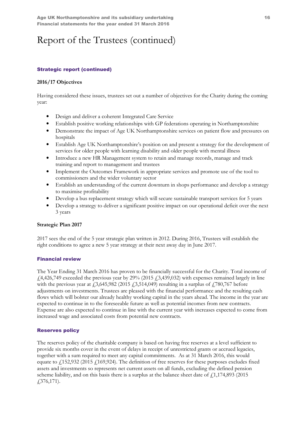## Strategic report (continued)

### 2016/17 Objectives

Having considered these issues, trustees set out a number of objectives for the Charity during the coming year:

- Design and deliver a coherent Integrated Care Service
- Establish positive working relationships with GP federations operating in Northamptonshire
- Demonstrate the impact of Age UK Northamptonshire services on patient flow and pressures on hospitals
- Establish Age UK Northamptonshire's position on and present a strategy for the development of services for older people with learning disability and older people with mental illness
- Introduce a new HR Management system to retain and manage records, manage and track training and report to management and trustees
- Implement the Outcomes Framework in appropriate services and promote use of the tool to commissioners and the wider voluntary sector
- Establish an understanding of the current downturn in shops performance and develop a strategy to maximise profitability
- Develop a bus replacement strategy which will secure sustainable transport services for 5 years
- Develop a strategy to deliver a significant positive impact on our operational deficit over the next 3 years

### Strategic Plan 2017

2017 sees the end of the 5 year strategic plan written in 2012. During 2016, Trustees will establish the right conditions to agree a new 5 year strategy at their next away day in June 2017.

### Financial review

The Year Ending 31 March 2016 has proven to be financially successful for the Charity. Total income of  $f(4,426,749)$  exceeded the previous year by 29% (2015  $f(3,439,032)$  with expenses remained largely in line with the previous year at  $\frac{13,645,982}{2015}$  (2015  $\frac{13,514,049}{20}$  resulting in a surplus of  $\frac{1780,767}{200}$  before adjustments on investments. Trustees are pleased with the financial performance and the resulting cash flows which will bolster our already healthy working capital in the years ahead. The income in the year are expected to continue in to the foreseeable future as well as potential incomes from new contracts. Expense are also expected to continue in line with the current year with increases expected to come from increased wage and associated costs from potential new contracts.

### Reserves policy

The reserves policy of the charitable company is based on having free reserves at a level sufficient to provide six months cover in the event of delays in receipt of unrestricted grants or accrued legacies, together with a sum required to meet any capital commitments. As at 31 March 2016, this would equate to  $\frac{152,932}{2015}$  (2015  $\frac{1}{169,924}$ ). The definition of free reserves for these purposes excludes fixed assets and investments so represents net current assets on all funds, excluding the defined pension scheme liability, and on this basis there is a surplus at the balance sheet date of  $\frac{11,174,893}{2015}$ £376,171).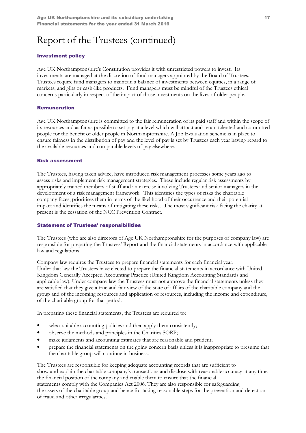### Investment policy

Age UK Northamptonshire's Constitution provides it with unrestricted powers to invest. Its investments are managed at the discretion of fund managers appointed by the Board of Trustees. Trustees require fund managers to maintain a balance of investments between equities, in a range of markets, and gilts or cash-like products. Fund managers must be mindful of the Trustees ethical concerns particularly in respect of the impact of those investments on the lives of older people.

#### Remuneration

Age UK Northamptonshire is committed to the fair remuneration of its paid staff and within the scope of its resources and as far as possible to set pay at a level which will attract and retain talented and committed people for the benefit of older people in Northamptonshire. A Job Evaluation scheme is in place to ensure fairness in the distribution of pay and the level of pay is set by Trustees each year having regard to the available resources and comparable levels of pay elsewhere.

#### Risk assessment

The Trustees, having taken advice, have introduced risk management processes some years ago to assess risks and implement risk management strategies. These include regular risk assessments by appropriately trained members of staff and an exercise involving Trustees and senior managers in the development of a risk management framework. This identifies the types of risks the charitable company faces, prioritises them in terms of the likelihood of their occurrence and their potential impact and identifies the means of mitigating these risks. The most significant risk facing the charity at present is the cessation of the NCC Prevention Contract.

#### Statement of Trustees' responsibilities

The Trustees (who are also directors of Age UK Northamptonshire for the purposes of company law) are responsible for preparing the Trustees' Report and the financial statements in accordance with applicable law and regulations.

Company law requires the Trustees to prepare financial statements for each financial year. Under that law the Trustees have elected to prepare the financial statements in accordance with United Kingdom Generally Accepted Accounting Practice (United Kingdom Accounting Standards and applicable law). Under company law the Trustees must not approve the financial statements unless they are satisfied that they give a true and fair view of the state of affairs of the charitable company and the group and of the incoming resources and application of resources, including the income and expenditure, of the charitable group for that period.

In preparing these financial statements, the Trustees are required to:

- select suitable accounting policies and then apply them consistently;
- observe the methods and principles in the Charities SORP;
- make judgments and accounting estimates that are reasonable and prudent;
- prepare the financial statements on the going concern basis unless it is inappropriate to presume that the charitable group will continue in business.

The Trustees are responsible for keeping adequate accounting records that are sufficient to show and explain the charitable company's transactions and disclose with reasonable accuracy at any time the financial position of the company and enable them to ensure that the financial statements comply with the Companies Act 2006. They are also responsible for safeguarding the assets of the charitable group and hence for taking reasonable steps for the prevention and detection of fraud and other irregularities.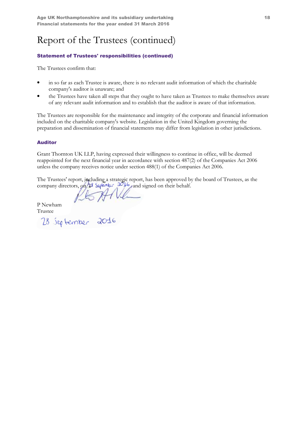## Statement of Trustees' responsibilities (continued)

The Trustees confirm that:

- in so far as each Trustee is aware, there is no relevant audit information of which the charitable company's auditor is unaware; and
- the Trustees have taken all steps that they ought to have taken as Trustees to make themselves aware of any relevant audit information and to establish that the auditor is aware of that information.

The Trustees are responsible for the maintenance and integrity of the corporate and financial information included on the charitable company's website. Legislation in the United Kingdom governing the preparation and dissemination of financial statements may differ from legislation in other jurisdictions.

### Auditor

Grant Thornton UK LLP, having expressed their willingness to continue in office, will be deemed reappointed for the next financial year in accordance with section 487(2) of the Companies Act 2006 unless the company receives notice under section 488(1) of the Companies Act 2006.

The Trustees' report, including a strategic report, has been approved by the board of Trustees, as the company directors, on  $2^{\circ}$  september  $\infty$  and signed on their behalf.

P Newham

Trustee<br>28 September 2016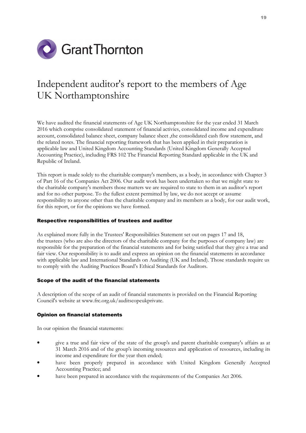

## Independent auditor's report to the members of Age UK Northamptonshire

We have audited the financial statements of Age UK Northamptonshire for the year ended 31 March 2016 which comprise consolidated statement of financial activies, consolidated income and expenditure account, consolidated balance sheet, company balance sheet ,the consolidated cash flow statement, and the related notes. The financial reporting framework that has been applied in their preparation is applicable law and United Kingdom Accounting Standards (United Kingdom Generally Accepted Accounting Practice), including FRS 102 The Financial Reporting Standard applicable in the UK and Republic of Ireland.

This report is made solely to the charitable company's members, as a body, in accordance with Chapter 3 of Part 16 of the Companies Act 2006. Our audit work has been undertaken so that we might state to the charitable company's members those matters we are required to state to them in an auditor's report and for no other purpose. To the fullest extent permitted by law, we do not accept or assume responsibility to anyone other than the charitable company and its members as a body, for our audit work, for this report, or for the opinions we have formed.

#### Respective responsibilities of trustees and auditor

As explained more fully in the Trustees' Responsibilities Statement set out on pages 17 and 18, the trustees (who are also the directors of the charitable company for the purposes of company law) are responsible for the preparation of the financial statements and for being satisfied that they give a true and fair view. Our responsibility is to audit and express an opinion on the financial statements in accordance with applicable law and International Standards on Auditing (UK and Ireland). Those standards require us to comply with the Auditing Practices Board's Ethical Standards for Auditors.

#### Scope of the audit of the financial statements

A description of the scope of an audit of financial statements is provided on the Financial Reporting Council's website at www.frc.org.uk/auditscopeukprivate.

#### Opinion on financial statements

In our opinion the financial statements:

- give a true and fair view of the state of the group's and parent charitable company's affairs as at 31 March 2016 and of the group's incoming resources and application of resources, including its income and expenditure for the year then ended;
- have been properly prepared in accordance with United Kingdom Generally Accepted Accounting Practice; and
- have been prepared in accordance with the requirements of the Companies Act 2006.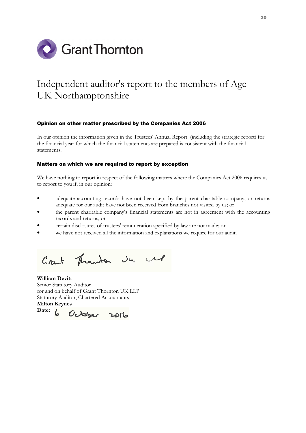

## Independent auditor's report to the members of Age UK Northamptonshire

#### Opinion on other matter prescribed by the Companies Act 2006

In our opinion the information given in the Trustees' Annual Report (including the strategic report) for the financial year for which the financial statements are prepared is consistent with the financial statements.

#### Matters on which we are required to report by exception

We have nothing to report in respect of the following matters where the Companies Act 2006 requires us to report to you if, in our opinion:

- adequate accounting records have not been kept by the parent charitable company, or returns adequate for our audit have not been received from branches not visited by us; or
- the parent charitable company's financial statements are not in agreement with the accounting records and returns; or
- certain disclosures of trustees' remuneration specified by law are not made; or
- we have not received all the information and explanations we require for our audit.

Grant Thanks Ju Ml

William Devitt Senior Statutory Auditor for and on behalf of Grant Thornton UK LLP Statutory Auditor, Chartered Accountants Milton Keynes

Date: 6 October 2016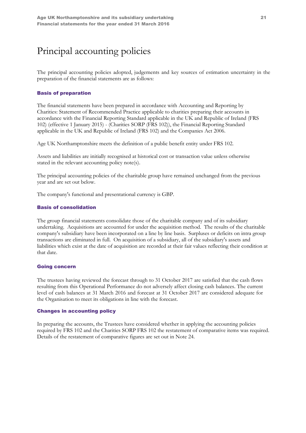## Principal accounting policies

The principal accounting policies adopted, judgements and key sources of estimation uncertainty in the preparation of the financial statements are as follows:

### Basis of preparation

The financial statements have been prepared in accordance with Accounting and Reporting by Charities: Statement of Recommended Practice applicable to charities preparing their accounts in accordance with the Financial Reporting Standard applicable in the UK and Republic of Ireland (FRS 102) (effective 1 January 2015) - (Charities SORP (FRS 102)), the Financial Reporting Standard applicable in the UK and Republic of Ireland (FRS 102) and the Companies Act 2006.

Age UK Northamptonshire meets the definition of a public benefit entity under FRS 102.

Assets and liabilities are initially recognised at historical cost or transaction value unless otherwise stated in the relevant accounting policy note(s).

The principal accounting policies of the charitable group have remained unchanged from the previous year and are set out below.

The company's functional and presentational currency is GBP.

#### Basis of consolidation

The group financial statements consolidate those of the charitable company and of its subsidiary undertaking. Acquisitions are accounted for under the acquisition method. The results of the charitable company's subsidiary have been incorporated on a line by line basis. Surpluses or deficits on intra group transactions are eliminated in full. On acquisition of a subsidiary, all of the subsidiary's assets and liabilities which exist at the date of acquisition are recorded at their fair values reflecting their condition at that date.

#### Going concern

The trustees having reviewed the forecast through to 31 October 2017 are satisfied that the cash flows resulting from this Operational Performance do not adversely affect closing cash balances. The current level of cash balances at 31 March 2016 and forecast at 31 October 2017 are considered adequate for the Organisation to meet its obligations in line with the forecast.

#### Changes in accounting policy

In preparing the accounts, the Trustees have considered whether in applying the accounting policies required by FRS 102 and the Charities SORP FRS 102 the restatement of comparative items was required. Details of the restatement of comparative figures are set out in Note 24.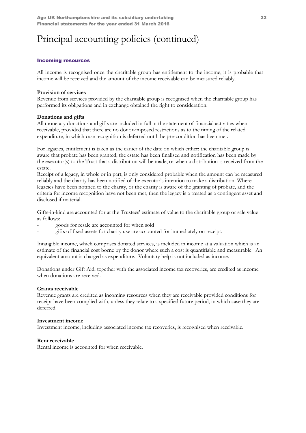#### Incoming resources

All income is recognised once the charitable group has entitlement to the income, it is probable that income will be received and the amount of the income receivable can be measured reliably.

#### Provision of services

Revenue from services provided by the charitable group is recognised when the charitable group has performed its obligations and in exchange obtained the right to consideration.

### Donations and gifts

All monetary donations and gifts are included in full in the statement of financial activities when receivable, provided that there are no donor-imposed restrictions as to the timing of the related expenditure, in which case recognition is deferred until the pre-condition has been met.

For legacies, entitlement is taken as the earlier of the date on which either: the charitable group is aware that probate has been granted, the estate has been finalised and notification has been made by the executor(s) to the Trust that a distribution will be made, or when a distribution is received from the estate.

Receipt of a legacy, in whole or in part, is only considered probable when the amount can be measured reliably and the charity has been notified of the executor's intention to make a distribution. Where legacies have been notified to the charity, or the charity is aware of the granting of probate, and the criteria for income recognition have not been met, then the legacy is a treated as a contingent asset and disclosed if material.

Gifts-in-kind are accounted for at the Trustees' estimate of value to the charitable group or sale value as follows:

- goods for resale are accounted for when sold
- gifts of fixed assets for charity use are accounted for immediately on receipt.

Intangible income, which comprises donated services, is included in income at a valuation which is an estimate of the financial cost borne by the donor where such a cost is quantifiable and measurable. An equivalent amount is charged as expenditure. Voluntary help is not included as income.

Donations under Gift Aid, together with the associated income tax recoveries, are credited as income when donations are received.

#### Grants receivable

Revenue grants are credited as incoming resources when they are receivable provided conditions for receipt have been complied with, unless they relate to a specified future period, in which case they are deferred.

#### Investment income

Investment income, including associated income tax recoveries, is recognised when receivable.

#### Rent receivable

Rental income is accounted for when receivable.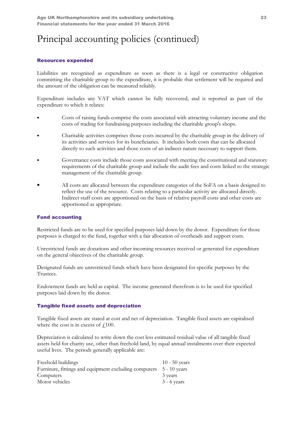#### Resources expended

Liabilities are recognised as expenditure as soon as there is a legal or constructive obligation committing the charitable group to the expenditure, it is probable that settlement will be required and the amount of the obligation can be measured reliably.

Expenditure includes any VAT which cannot be fully recovered, and is reported as part of the expenditure to which it relates:

- Costs of raising funds comprise the costs associated with attracting voluntary income and the costs of trading for fundraising purposes including the charitable group's shops.
- Charitable activities comprises those costs incurred by the charitable group in the delivery of its activities and services for its beneficiaries. It includes both costs that can be allocated directly to such activities and those costs of an indirect nature necessary to support them.
- Governance costs include those costs associated with meeting the constitutional and statutory requirements of the charitable group and include the audit fees and costs linked to the strategic management of the charitable group.
- All costs are allocated between the expenditure categories of the SoFA on a basis designed to reflect the use of the resource. Costs relating to a particular activity are allocated directly. Indirect staff costs are apportioned on the basis of relative payroll costs and other costs are apportioned as appropriate.

### Fund accounting

Restricted funds are to be used for specified purposes laid down by the donor. Expenditure for those purposes is charged to the fund, together with a fair allocation of overheads and support costs.

Unrestricted funds are donations and other incoming resources received or generated for expenditure on the general objectives of the charitable group.

Designated funds are unrestricted funds which have been designated for specific purposes by the Trustees.

Endowment funds are held as capital. The income generated therefrom is to be used for specified purposes laid down by the donor.

#### Tangible fixed assets and depreciation

Tangible fixed assets are stated at cost and net of depreciation. Tangible fixed assets are capitalised where the cost is in excess of  $\text{\textsterling}100$ .

Depreciation is calculated to write down the cost less estimated residual value of all tangible fixed assets held for charity use, other than freehold land, by equal annual instalments over their expected useful lives. The periods generally applicable are:

| Freehold buildings                                    | $10 - 50$ years |
|-------------------------------------------------------|-----------------|
| Furniture, fittings and equipment excluding computers | 5 - 10 years    |
| Computers                                             | 3 years         |
| Motor vehicles                                        | $3 - 6$ years   |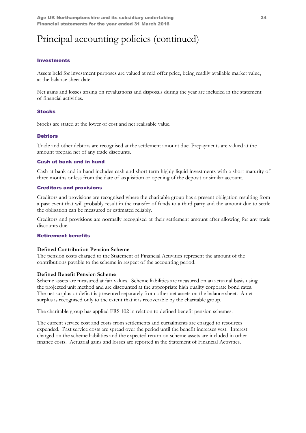#### **Investments**

Assets held for investment purposes are valued at mid offer price, being readily available market value, at the balance sheet date.

Net gains and losses arising on revaluations and disposals during the year are included in the statement of financial activities.

#### **Stocks**

Stocks are stated at the lower of cost and net realisable value.

#### **Debtors**

Trade and other debtors are recognised at the settlement amount due. Prepayments are valued at the amount prepaid net of any trade discounts.

#### Cash at bank and in hand

Cash at bank and in hand includes cash and short term highly liquid investments with a short maturity of three months or less from the date of acquisition or opening of the deposit or similar account.

#### Creditors and provisions

Creditors and provisions are recognised where the charitable group has a present obligation resulting from a past event that will probably result in the transfer of funds to a third party and the amount due to settle the obligation can be measured or estimated reliably.

Creditors and provisions are normally recognised at their settlement amount after allowing for any trade discounts due.

#### Retirement benefits

#### Defined Contribution Pension Scheme

The pension costs charged to the Statement of Financial Activities represent the amount of the contributions payable to the scheme in respect of the accounting period.

#### Defined Benefit Pension Scheme

Scheme assets are measured at fair values. Scheme liabilities are measured on an actuarial basis using the projected unit method and are discounted at the appropriate high quality corporate bond rates. The net surplus or deficit is presented separately from other net assets on the balance sheet. A net surplus is recognised only to the extent that it is recoverable by the charitable group.

The charitable group has applied FRS 102 in relation to defined benefit pension schemes.

The current service cost and costs from settlements and curtailments are charged to resources expended. Past service costs are spread over the period until the benefit increases vest. Interest charged on the scheme liabilities and the expected return on scheme assets are included in other finance costs. Actuarial gains and losses are reported in the Statement of Financial Activities.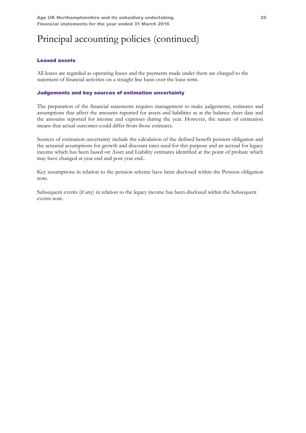### Leased assets

All leases are regarded as operating leases and the payments made under them are charged to the statement of financial activities on a straight line basis over the lease term.

### Judgements and key sources of estimation uncertainty

The preparation of the financial statements requires management to make judgements, estimates and assumptions that affect the amounts reported for assets and liabilities as at the balance sheet date and the amounts reported for income and expenses during the year. However, the nature of estimation means that actual outcomes could differ from those estimates.

Sources of estimation uncertainty include the calculation of the defined benefit pension obligation and the actuarial assumptions for growth and discount rates used for this purpose and an accrual for legacy income which has been based on Asset and Liability estimates identified at the point of probate which may have changed at year end and post year end..

Key assumptions in relation to the pension scheme have been disclosed within the Pension obligation note.

Subsequent events (if any) in relation to the legacy income has been disclosed within the Subsequent events note.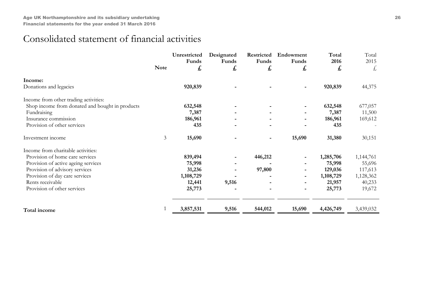## Consolidated statement of financial activities

|                                                 |                | Unrestricted<br>Funds | Designated<br>Funds | Restricted<br>Funds | Endowment<br>Funds           | Total<br>2016 | Total<br>2015 |
|-------------------------------------------------|----------------|-----------------------|---------------------|---------------------|------------------------------|---------------|---------------|
|                                                 | <b>Note</b>    | £                     | £                   | £                   | £                            | £             | £             |
| Income:                                         |                |                       |                     |                     |                              |               |               |
| Donations and legacies                          |                | 920,839               |                     |                     |                              | 920,839       | 44,375        |
| Income from other trading activities:           |                |                       |                     |                     |                              |               |               |
| Shop income from donated and bought in products |                | 632,548               |                     |                     |                              | 632,548       | 677,057       |
| Fundraising                                     |                | 7,387                 |                     |                     |                              | 7,387         | 11,500        |
| Insurance commission                            |                | 186,961               |                     |                     |                              | 186,961       | 169,612       |
| Provision of other services                     |                | 435                   |                     |                     |                              | 435           |               |
| Investment income                               | $\mathfrak{Z}$ | 15,690                |                     |                     | 15,690                       | 31,380        | 30,151        |
| Income from charitable activities:              |                |                       |                     |                     |                              |               |               |
| Provision of home care services                 |                | 839,494               |                     | 446,212             |                              | 1,285,706     | 1,144,761     |
| Provision of active ageing services             |                | 75,998                |                     |                     |                              | 75,998        | 55,696        |
| Provision of advisory services                  |                | 31,236                |                     | 97,800              | $\overline{\phantom{a}}$     | 129,036       | 117,613       |
| Provision of day care services                  |                | 1,108,729             |                     |                     |                              | 1,108,729     | 1,128,362     |
| Rents receivable                                |                | 12,441                | 9,516               |                     |                              | 21,957        | 40,233        |
| Provision of other services                     |                | 25,773                |                     |                     | $\qquad \qquad \blacksquare$ | 25,773        | 19,672        |
|                                                 |                | 3,857,531             | 9,516               | 544,012             | 15,690                       | 4,426,749     | 3,439,032     |
| Total income                                    |                |                       |                     |                     |                              |               |               |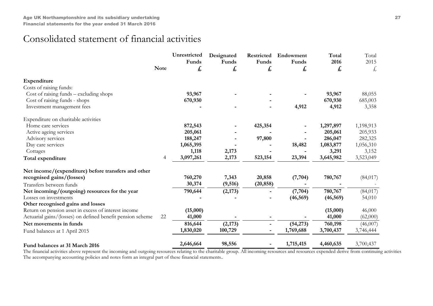## Consolidated statement of financial activities

|                                                            | <b>Note</b> | Unrestricted<br>Funds<br>£ | Designated<br>Funds<br>£ | Restricted<br>Funds<br>£ | Endowment<br>Funds<br>£ | Total<br>2016<br>£ | Total<br>2015<br>£ |
|------------------------------------------------------------|-------------|----------------------------|--------------------------|--------------------------|-------------------------|--------------------|--------------------|
| Expenditure                                                |             |                            |                          |                          |                         |                    |                    |
| Costs of raising funds:                                    |             |                            |                          |                          |                         |                    |                    |
| Cost of raising funds – excluding shops                    |             | 93,967                     |                          |                          |                         | 93,967             | 88,055             |
| Cost of raising funds - shops                              |             | 670,930                    |                          |                          |                         | 670,930            | 685,003            |
| Investment management fees                                 |             |                            |                          |                          | 4,912                   | 4,912              | 3,358              |
| Expenditure on charitable activities                       |             |                            |                          |                          |                         |                    |                    |
| Home care services                                         |             | 872,543                    |                          | 425,354                  |                         | 1,297,897          | 1,198,913          |
| Active ageing services                                     |             | 205,061                    |                          |                          |                         | 205,061            | 205,933            |
| Advisory services                                          |             | 188,247                    |                          | 97,800                   |                         | 286,047            | 282,325            |
| Day care services                                          |             | 1,065,395                  |                          |                          | 18,482                  | 1,083,877          | 1,056,310          |
| Cottages                                                   |             | 1,118                      | 2,173                    |                          |                         | 3,291              | 3,152              |
| Total expenditure                                          | 4           | 3,097,261                  | 2,173                    | 523,154                  | 23,394                  | 3,645,982          | 3,523,049          |
| Net income/(expenditure) before transfers and other        |             |                            |                          |                          |                         |                    |                    |
| recognised gains/(losses)                                  |             | 760,270                    | 7,343                    | 20,858                   | (7, 704)                | 780,767            | (84, 017)          |
| Transfers between funds                                    |             | 30,374                     | (9, 516)                 | (20, 858)                |                         |                    |                    |
| Net incoming/(outgoing) resources for the year             |             | 790,644                    | (2, 173)                 |                          | (7,704)                 | 780,767            | (84, 017)          |
| Losses on investments                                      |             |                            |                          |                          | (46, 569)               | (46, 569)          | 54,010             |
| Other recognised gains and losses                          |             |                            |                          |                          |                         |                    |                    |
| Return on pension asset in excess of interest income       |             | (15,000)                   |                          |                          |                         | (15,000)           | 46,000             |
| Actuarial gains/(losses) on defined benefit pension scheme | 22          | 41,000                     |                          |                          |                         | 41,000             | (62,000)           |
| Net movements in funds                                     |             | 816,644                    | (2,173)                  |                          | (54,273)                | 760,198            | (46,007)           |
| Fund balances at 1 April 2015                              |             | 1,830,020                  | 100,729                  | $\overline{\phantom{0}}$ | 1,769,688               | 3,700,437          | 3,746,444          |
| Fund balances at 31 March 2016                             |             | 2,646,664                  | 98,556                   |                          | 1,715,415               | 4,460,635          | 3,700,437          |

The financial activities above represent the incoming and outgoing resources relating to the charitable group. All incoming resources and resources expended derive from continuing activities The accompanying accounting policies and notes form an integral part of these financial statements..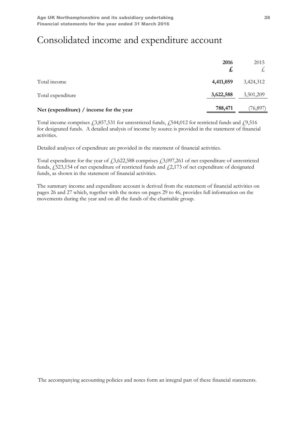## Consolidated income and expenditure account

|                                         | 2016<br>£, | 2015      |
|-----------------------------------------|------------|-----------|
| Total income                            | 4,411,059  | 3,424,312 |
| Total expenditure                       | 3,622,588  | 3,501,209 |
| Net (expenditure) / income for the year | 788,471    | (76, 897) |

Total income comprises  $\text{\emph{f}}3,857,531$  for unrestricted funds,  $\text{\emph{f}}544,012$  for restricted funds and  $\text{\emph{f}}9,516$ for designated funds. A detailed analysis of income by source is provided in the statement of financial activities.

Detailed analyses of expenditure are provided in the statement of financial activities.

Total expenditure for the year of  $\text{\textsterling}3,622,588$  comprises  $\text{\textsterling}3,097,261$  of net expenditure of unrestricted funds,  $\frac{1}{2}$ 523,154 of net expenditure of restricted funds and  $\frac{1}{2}$ ,173 of net expenditure of designated funds, as shown in the statement of financial activities.

The summary income and expenditure account is derived from the statement of financial activities on pages 26 and 27 which, together with the notes on pages 29 to 46, provides full information on the movements during the year and on all the funds of the charitable group.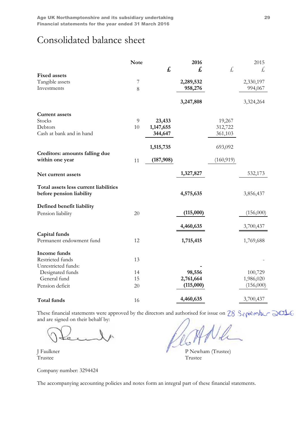## Consolidated balance sheet

|                                                                   | <b>Note</b> |              | 2016      |            | 2015      |
|-------------------------------------------------------------------|-------------|--------------|-----------|------------|-----------|
|                                                                   |             | $\mathbf{f}$ | £         | £,         | £,        |
| <b>Fixed assets</b>                                               |             |              |           |            |           |
| Tangible assets                                                   | 7           |              | 2,289,532 |            | 2,330,197 |
| Investments                                                       | 8           |              | 958,276   |            | 994,067   |
|                                                                   |             |              | 3,247,808 |            | 3,324,264 |
| <b>Current assets</b>                                             |             |              |           |            |           |
| Stocks                                                            | 9           | 23,433       |           | 19,267     |           |
| Debtors                                                           | $10\,$      | 1,147,655    |           | 312,722    |           |
| Cash at bank and in hand                                          |             | 344,647      |           | 361,103    |           |
|                                                                   |             |              |           |            |           |
|                                                                   |             | 1,515,735    |           | 693,092    |           |
| Creditors: amounts falling due<br>within one year                 | 11          | (187,908)    |           | (160, 919) |           |
| Net current assets                                                |             |              | 1,327,827 |            | 532,173   |
| Total assets less current liabilities<br>before pension liability |             |              | 4,575,635 |            | 3,856,437 |
|                                                                   |             |              |           |            |           |
| Defined benefit liability                                         |             |              |           |            |           |
| Pension liability                                                 | 20          |              | (115,000) |            | (156,000) |
|                                                                   |             |              | 4,460,635 |            | 3,700,437 |
| Capital funds                                                     |             |              |           |            |           |
| Permanent endowment fund                                          | 12          |              | 1,715,415 |            | 1,769,688 |
| Income funds                                                      |             |              |           |            |           |
| Restricted funds                                                  | 13          |              |           |            |           |
| Unrestricted funds:                                               |             |              |           |            |           |
| Designated funds                                                  | 14          |              | 98,556    |            | 100,729   |
| General fund                                                      | 15          |              | 2,761,664 |            | 1,986,020 |
| Pension deficit                                                   | 20          |              | (115,000) |            | (156,000) |
| Total funds                                                       | 16          |              | 4,460,635 |            | 3,700,437 |

These financial statements were approved by the directors and authorised for issue on and are signed on their behalf by:

Trustee Trustee

Company number: 3294424

J Faulkner P Newham (Trustee)<br>Trustee P Newham (Trustee)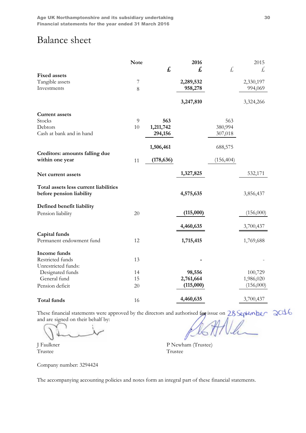## Balance sheet

|                                                                   | <b>Note</b> |            | 2016      |            | 2015      |
|-------------------------------------------------------------------|-------------|------------|-----------|------------|-----------|
|                                                                   |             | £,         | £,        | £,         | £         |
| <b>Fixed assets</b>                                               |             |            |           |            |           |
| Tangible assets                                                   | 7           |            | 2,289,532 |            | 2,330,197 |
| Investments                                                       | 8           |            | 958,278   |            | 994,069   |
|                                                                   |             |            | 3,247,810 |            | 3,324,266 |
| <b>Current assets</b>                                             |             |            |           |            |           |
| Stocks                                                            | 9           | 563        |           | 563        |           |
| Debtors                                                           | 10          | 1,211,742  |           | 380,994    |           |
| Cash at bank and in hand                                          |             | 294,156    |           | 307,018    |           |
|                                                                   |             | 1,506,461  |           | 688,575    |           |
| Creditors: amounts falling due<br>within one year                 | 11          | (178, 636) |           | (156, 404) |           |
| Net current assets                                                |             |            | 1,327,825 |            | 532,171   |
| Total assets less current liabilities<br>before pension liability |             |            | 4,575,635 |            | 3,856,437 |
| Defined benefit liability                                         |             |            |           |            |           |
| Pension liability                                                 | 20          |            | (115,000) |            | (156,000) |
|                                                                   |             |            | 4,460,635 |            | 3,700,437 |
| Capital funds                                                     |             |            |           |            |           |
| Permanent endowment fund                                          | 12          |            | 1,715,415 |            | 1,769,688 |
| Income funds                                                      |             |            |           |            |           |
| Restricted funds                                                  | 13          |            |           |            |           |
| Unrestricted funds:                                               |             |            |           |            |           |
| Designated funds                                                  | 14          |            | 98,556    |            | 100,729   |
| General fund                                                      | 15          |            | 2,761,664 |            | 1,986,020 |
| Pension deficit                                                   | 20          |            | (115,000) |            | (156,000) |
| Total funds                                                       | 16          |            | 4,460,635 |            | 3,700,437 |

These financial statements were approved by the directors and authorised for issue on and are signed on their behalf by:

J Faulkner P Newham (Trustee) **Trustee** 

Company number: 3294424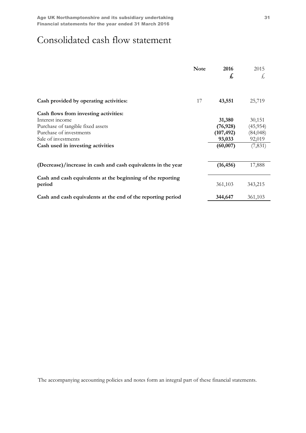## Consolidated cash flow statement

|                                                                       | <b>Note</b> | 2016<br>£  | 2015<br>Ł, |
|-----------------------------------------------------------------------|-------------|------------|------------|
| Cash provided by operating activities:                                | 17          | 43,551     | 25,719     |
| Cash flows from investing activities:                                 |             |            |            |
| Interest income                                                       |             | 31,380     | 30,151     |
| Purchase of tangible fixed assets                                     |             | (76, 928)  | (45, 954)  |
| Purchase of investments                                               |             | (107, 492) | (84, 048)  |
| Sale of investments                                                   |             | 93,033     | 92,019     |
| Cash used in investing activities                                     |             | (60, 007)  | (7, 831)   |
| (Decrease)/increase in cash and cash equivalents in the year          |             | (16, 456)  | 17,888     |
|                                                                       |             |            |            |
| Cash and cash equivalents at the beginning of the reporting<br>period |             | 361,103    | 343,215    |
| Cash and cash equivalents at the end of the reporting period          |             | 344,647    | 361,103    |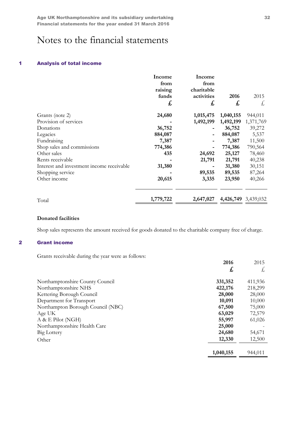## Notes to the financial statements

### 1 Analysis of total income

|                                           | Income<br>from<br>raising<br>funds<br>£, | Income<br>from<br>charitable<br>activities<br>£, | 2016<br>£ | 2015<br>£,          |
|-------------------------------------------|------------------------------------------|--------------------------------------------------|-----------|---------------------|
| Grants (note 2)                           | 24,680                                   | 1,015,475                                        | 1,040,155 | 944,011             |
| Provision of services                     |                                          | 1,492,199                                        | 1,492,199 | 1,371,769           |
| Donations                                 | 36,752                                   |                                                  | 36,752    | 39,272              |
| Legacies                                  | 884,087                                  |                                                  | 884,087   | 5,537               |
| Fundraising                               | 7,387                                    |                                                  | 7,387     | 11,500              |
| Shop sales and commissions                | 774,386                                  |                                                  | 774,386   | 790,564             |
| Other sales                               | 435                                      | 24,692                                           | 25,127    | 78,460              |
| Rents receivable                          |                                          | 21,791                                           | 21,791    | 40,238              |
| Interest and investment income receivable | 31,380                                   |                                                  | 31,380    | 30,151              |
| Shopping service                          |                                          | 89,535                                           | 89,535    | 87,264              |
| Other income                              | 20,615                                   | 3,335                                            | 23,950    | 40,266              |
| Total                                     | 1,779,722                                | 2,647,027                                        |           | 4,426,749 3,439,032 |

### Donated facilities

Shop sales represents the amount received for goods donated to the charitable company free of charge.

#### 2 Grant income

Grants receivable during the year were as follows:

|                                   | 2016      | 2015    |
|-----------------------------------|-----------|---------|
|                                   | £,        | £,      |
| Northamptonshire County Council   | 331,352   | 411,936 |
| Northamptonshire NHS              | 422,176   | 218,299 |
| Kettering Borough Council         | 28,000    | 28,000  |
| Department for Transport          | 10,091    | 10,000  |
| Northampton Borough Council (NBC) | 67,500    | 75,000  |
| Age UK                            | 63,029    | 72,579  |
| A & E Pilot (NGH)                 | 55,997    | 61,026  |
| Northamptonshire Health Care      | 25,000    |         |
| Big Lottery                       | 24,680    | 54,671  |
| Other                             | 12,330    | 12,500  |
|                                   | 1,040,155 | 944,011 |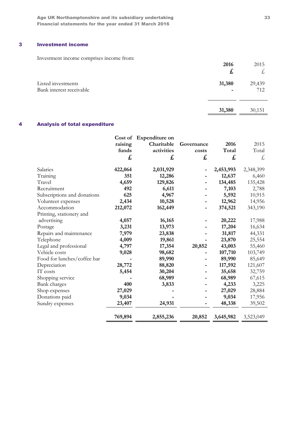Age UK Northamptonshire and its subsidiary undertaking 33 Financial statements for the year ended 31 March 2016

## 3 Investment income

Investment income comprises income from:

| Investment income comprises meome from.        | 2016<br>£,  | 2015<br>大     |
|------------------------------------------------|-------------|---------------|
| Listed investments<br>Bank interest receivable | 31,380<br>- | 29,439<br>712 |
|                                                | 31,380      | 30,151        |

## 4 Analysis of total expenditure

|                             | raising<br>funds<br>£ | Cost of Expenditure on<br>Charitable<br>activities<br>£ | Governance<br>costs<br>£ | 2016<br>Total<br>£ | 2015<br>Total<br>£, |
|-----------------------------|-----------------------|---------------------------------------------------------|--------------------------|--------------------|---------------------|
| Salaries                    | 422,064               | 2,031,929                                               |                          | 2,453,993          | 2,348,399           |
| Training                    | 351                   | 12,286                                                  |                          | 12,637             | 6,460               |
| Travel                      | 4,659                 | 129,826                                                 |                          | 134,485            | 135,428             |
| Recruitment                 | 492                   | 6,611                                                   |                          | 7,103              | 2,788               |
| Subscriptions and donations | 625                   | 4,967                                                   |                          | 5,592              | 10,915              |
| Volunteer expenses          | 2,434                 | 10,528                                                  |                          | 12,962             | 14,956              |
| Accommodation               | 212,072               | 162,449                                                 |                          | 374,521            | 343,190             |
| Printing, stationery and    |                       |                                                         |                          |                    |                     |
| advertising                 | 4,057                 | 16,165                                                  |                          | 20,222             | 17,988              |
| Postage                     | 3,231                 | 13,973                                                  |                          | 17,204             | 16,634              |
| Repairs and maintenance     | 7,979                 | 23,838                                                  |                          | 31,817             | 44,331              |
| Telephone                   | 4,009                 | 19,861                                                  |                          | 23,870             | 25,554              |
| Legal and professional      | 4,797                 | 17,354                                                  | 20,852                   | 43,003             | 55,460              |
| Vehicle costs               | 9,028                 | 98,682                                                  |                          | 107,710            | 103,749             |
| Food for lunches/coffee bar |                       | 89,990                                                  |                          | 89,990             | 85,649              |
| Depreciation                | 28,772                | 88,820                                                  |                          | 117,592            | 121,607             |
| IT costs                    | 5,454                 | 30,204                                                  |                          | 35,658             | 32,759              |
| Shopping service            |                       | 68,989                                                  |                          | 68,989             | 67,615              |
| Bank charges                | 400                   | 3,833                                                   |                          | 4,233              | 3,225               |
| Shop expenses               | 27,029                |                                                         |                          | 27,029             | 28,884              |
| Donations paid              | 9,034                 |                                                         |                          | 9,034              | 17,956              |
| Sundry expenses             | 23,407                | 24,931                                                  |                          | 48,338             | 39,502              |
|                             | 769,894               | 2,855,236                                               | 20,852                   | 3,645,982          | 3,523,049           |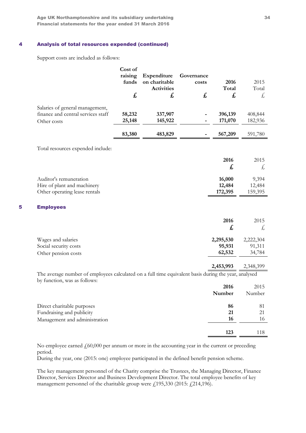Age UK Northamptonshire and its subsidiary undertaking 34 Financial statements for the year ended 31 March 2016

#### 4 Analysis of total resources expended (continued)

Support costs are included as follows:

|                                                                                                                                      | Cost of<br>raising<br>funds<br>£ | Expenditure<br>on charitable<br><b>Activities</b><br>£ | Governance<br>costs<br>£ | 2016<br>Total<br>£            | 2015<br>Total<br>£,           |
|--------------------------------------------------------------------------------------------------------------------------------------|----------------------------------|--------------------------------------------------------|--------------------------|-------------------------------|-------------------------------|
| Salaries of general management,<br>finance and central services staff<br>Other costs                                                 | 58,232<br>25,148                 | 337,907<br>145,922                                     |                          | 396,139<br>171,070            | 408,844<br>182,936            |
|                                                                                                                                      | 83,380                           | 483,829                                                |                          | 567,209                       | 591,780                       |
| Total resources expended include:                                                                                                    |                                  |                                                        |                          |                               |                               |
|                                                                                                                                      |                                  |                                                        |                          | 2016<br>£                     | 2015<br>£,                    |
| Auditor's remuneration<br>Hire of plant and machinery<br>Other operating lease rentals                                               |                                  |                                                        |                          | 16,000<br>12,484<br>172,395   | 9,394<br>12,484<br>159,395    |
| 5<br><b>Employees</b>                                                                                                                |                                  |                                                        |                          |                               |                               |
|                                                                                                                                      |                                  |                                                        |                          | 2016<br>£                     | 2015<br>£,                    |
| Wages and salaries<br>Social security costs<br>Other pension costs                                                                   |                                  |                                                        |                          | 2,295,530<br>95,931<br>62,532 | 2,222,304<br>91,311<br>34,784 |
|                                                                                                                                      |                                  |                                                        |                          | 2,453,993                     | 2,348,399                     |
| The average number of employees calculated on a full time equivalent basis during the year, analysed<br>by function, was as follows: |                                  |                                                        |                          |                               |                               |
|                                                                                                                                      |                                  |                                                        |                          | 2016<br>Number                | 2015<br>Number                |
| Direct charitable purposes<br>Fundraising and publicity<br>Management and administration                                             |                                  |                                                        |                          | 86<br>21<br>16                | 81<br>21<br>16                |
|                                                                                                                                      |                                  |                                                        |                          | 123                           | 118                           |

No employee earned  $f<sub>0</sub>60,000$  per annum or more in the accounting year in the current or preceding period.

During the year, one (2015: one) employee participated in the defined benefit pension scheme.

The key management personnel of the Charity comprise the Trustees, the Managing Director, Finance Director, Services Director and Business Development Director. The total employee benefits of key management personnel of the charitable group were  $f<sub>i</sub>$  195,330 (2015:  $f<sub>i</sub>$  214,196).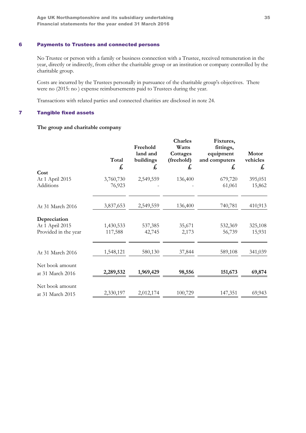## 6 Payments to Trustees and connected persons

No Trustee or person with a family or business connection with a Trustee, received remuneration in the year, directly or indirectly, from either the charitable group or an institution or company controlled by the charitable group.

Costs are incurred by the Trustees personally in pursuance of the charitable group's objectives. There were no (2015: no ) expense reimbursements paid to Trustees during the year.

Transactions with related parties and connected charities are disclosed in note 24.

#### 7 Tangible fixed assets

### The group and charitable company

| Cost                                                    | Total<br>£           | Freehold<br>land and<br>buildings<br>£ | <b>Charles</b><br>Watts<br>Cottages<br>(freehold)<br>$\mathbf{f}$ | Fixtures,<br>fittings,<br>equipment<br>and computers<br>£ | Motor<br>vehicles<br>£ |
|---------------------------------------------------------|----------------------|----------------------------------------|-------------------------------------------------------------------|-----------------------------------------------------------|------------------------|
| At 1 April 2015<br>Additions                            | 3,760,730<br>76,923  | 2,549,559                              | 136,400                                                           | 679,720<br>61,061                                         | 395,051<br>15,862      |
| At 31 March 2016                                        | 3,837,653            | 2,549,559                              | 136,400                                                           | 740,781                                                   | 410,913                |
| Depreciation<br>At 1 April 2015<br>Provided in the year | 1,430,533<br>117,588 | 537,385<br>42,745                      | 35,671<br>2,173                                                   | 532,369<br>56,739                                         | 325,108<br>15,931      |
| At 31 March 2016                                        | 1,548,121            | 580,130                                | 37,844                                                            | 589,108                                                   | 341,039                |
| Net book amount<br>at 31 March 2016                     | 2,289,532            | 1,969,429                              | 98,556                                                            | 151,673                                                   | 69,874                 |
| Net book amount<br>at 31 March 2015                     | 2,330,197            | 2,012,174                              | 100,729                                                           | 147,351                                                   | 69,943                 |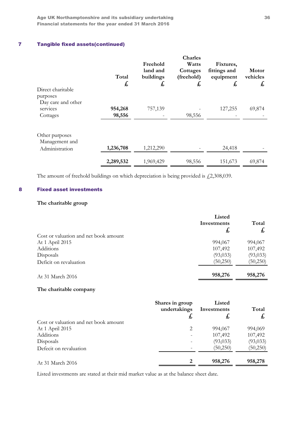Age UK Northamptonshire and its subsidiary undertaking 36 Financial statements for the year ended 31 March 2016

## 7 Tangible fixed assets(continued)

| Direct charitable<br>purposes                      | Total<br>$\mathbf{f}$ | Freehold<br>land and<br>buildings<br>£ | Charles<br>Watts<br>Cottages<br>(freehold)<br>£ | Fixtures,<br>fittings and<br>equipment<br>£ | <b>Motor</b><br>vehicles<br>$\mathbf{f}$ |
|----------------------------------------------------|-----------------------|----------------------------------------|-------------------------------------------------|---------------------------------------------|------------------------------------------|
| Day care and other<br>services<br>Cottages         | 954,268<br>98,556     | 757,139                                | 98,556                                          | 127,255                                     | 69,874                                   |
| Other purposes<br>Management and<br>Administration | 1,236,708             | 1,212,290                              |                                                 | 24,418                                      |                                          |
|                                                    | 2,289,532             | 1,969,429                              | 98,556                                          | 151,673                                     | 69,874                                   |

The amount of freehold buildings on which depreciation is being provided is  $\text{\textsterling}2,308,039$ .

### 8 Fixed asset investments

## The charitable group

|                                       | Listed      |           |  |
|---------------------------------------|-------------|-----------|--|
|                                       | Investments | Total     |  |
|                                       | £,          | £,        |  |
| Cost or valuation and net book amount |             |           |  |
| At 1 April 2015                       | 994,067     | 994,067   |  |
| Additions                             | 107,492     | 107,492   |  |
| Disposals                             | (93, 033)   | (93, 033) |  |
| Deficit on revaluation                | (50,250)    | (50,250)  |  |
| At 31 March 2016                      | 958,276     | 958,276   |  |

### The charitable company

|                                       | Shares in group<br>undertakings<br>t, | Listed<br>Investments<br>£, | Total<br>ょ |
|---------------------------------------|---------------------------------------|-----------------------------|------------|
| Cost or valuation and net book amount |                                       |                             |            |
| At 1 April 2015                       | 2                                     | 994,067                     | 994,069    |
| <b>Additions</b>                      |                                       | 107,492                     | 107,492    |
| Disposals                             |                                       | (93, 033)                   | (93, 033)  |
| Defecit on revaluation                |                                       | (50,250)                    | (50,250)   |
| At 31 March 2016                      |                                       | 958,276                     | 958,278    |

Listed investments are stated at their mid market value as at the balance sheet date.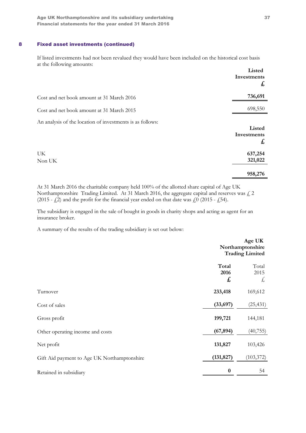### 8 Fixed asset investments (continued)

If listed investments had not been revalued they would have been included on the historical cost basis at the following amounts:

|                                                           | Listed<br>Investments<br>$\mathbf{f}$ |
|-----------------------------------------------------------|---------------------------------------|
| Cost and net book amount at 31 March 2016                 | 736,691                               |
| Cost and net book amount at 31 March 2015                 | 698,550                               |
| An analysis of the location of investments is as follows: | Listed<br>Investments<br>$\mathbf{f}$ |
| <b>UK</b><br>Non UK                                       | 637,254<br>321,022                    |
|                                                           | 958,276                               |

At 31 March 2016 the charitable company held 100% of the allotted share capital of Age UK Northamptonshire Trading Limited. At 31 March 2016, the aggregate capital and reserves was  $\zeta$  2 (2015 -  $\zeta$ 2) and the profit for the financial year ended on that date was  $\zeta$ 0 (2015 -  $\zeta$ 54).

The subsidiary is engaged in the sale of bought in goods in charity shops and acting as agent for an insurance broker.

A summary of the results of the trading subsidiary is set out below:

|                                             |                    | Age UK<br>Northamptonshire<br><b>Trading Limited</b> |
|---------------------------------------------|--------------------|------------------------------------------------------|
|                                             | Total<br>2016<br>£ | Total<br>2015<br>£,                                  |
| Turnover                                    | 233,418            | 169,612                                              |
| Cost of sales                               | (33, 697)          | (25, 431)                                            |
| Gross profit                                | 199,721            | 144,181                                              |
| Other operating income and costs            | (67, 894)          | (40, 755)                                            |
| Net profit                                  | 131,827            | 103,426                                              |
| Gift Aid payment to Age UK Northamptonshire | (131, 827)         | (103, 372)                                           |
| Retained in subsidiary                      | $\boldsymbol{0}$   | 54                                                   |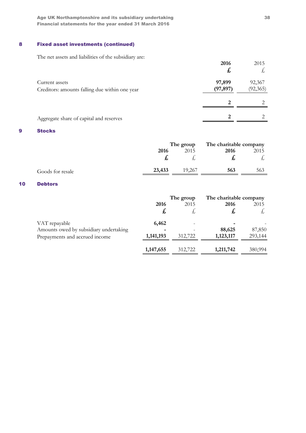Age UK Northamptonshire and its subsidiary undertaking 38 Financial statements for the year ended 31 March 2016

## 8 Fixed asset investments (continued)

The net assets and liabilities of the subsidiary are:

|                                                                  | 2016<br>た           | 2015                |
|------------------------------------------------------------------|---------------------|---------------------|
| Current assets<br>Creditors: amounts falling due within one year | 97,899<br>(97, 897) | 92,367<br>(92, 365) |
|                                                                  | 2                   |                     |
| Aggregate share of capital and reserves                          | 2                   |                     |

#### 9 Stocks

|                  | The group |        | The charitable company |      |
|------------------|-----------|--------|------------------------|------|
|                  | 2016      | 2015   | 2016                   | 2015 |
|                  |           |        |                        |      |
| Goods for resale | 23,433    | 19.267 | 563                    | 563  |

## 10 Debtors

|                                        |           | The group | The charitable company |         |
|----------------------------------------|-----------|-----------|------------------------|---------|
|                                        | 2016      | 2015      | 2016                   | 2015    |
|                                        | £,        |           | £,                     |         |
| VAT repayable                          | 6,462     |           |                        |         |
| Amounts owed by subsidiary undertaking |           |           | 88,625                 | 87,850  |
| Prepayments and accrued income         | 1,141,193 | 312,722   | 1,123,117              | 293,144 |
|                                        | 1,147,655 | 312,722   | 1,211,742              | 380,994 |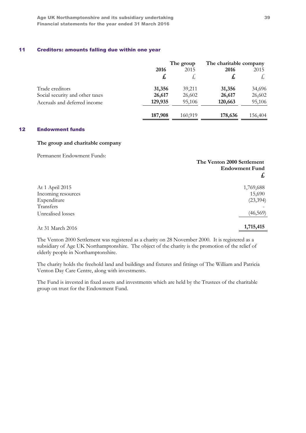### 11 Creditors: amounts falling due within one year

|                                 |         | The group | The charitable company |         |
|---------------------------------|---------|-----------|------------------------|---------|
|                                 | 2016    | 2015      | 2016                   | 2015    |
|                                 | £,      |           | £                      |         |
| Trade creditors                 | 31,356  | 39,211    | 31,356                 | 34,696  |
| Social security and other taxes | 26,617  | 26,602    | 26,617                 | 26,602  |
| Accruals and deferred income    | 129,935 | 95,106    | 120,663                | 95,106  |
|                                 | 187,908 | 160,919   | 178,636                | 156,404 |

### 12 Endowment funds

#### The group and charitable company

Permanent Endowment Funds:

|                    | The Venton 2000 Settlement<br><b>Endowment Fund</b><br>£, |
|--------------------|-----------------------------------------------------------|
| At 1 April 2015    | 1,769,688                                                 |
| Incoming resources | 15,690                                                    |
| Expenditure        | (23, 394)                                                 |
| Transfers          |                                                           |
| Unrealised losses  | (46, 569)                                                 |
| At 31 March 2016   | 1,715,415                                                 |

The Venton 2000 Settlement was registered as a charity on 28 November 2000. It is registered as a subsidiary of Age UK Northamptonshire. The object of the charity is the promotion of the relief of elderly people in Northamptonshire.

The charity holds the freehold land and buildings and fixtures and fittings of The William and Patricia Venton Day Care Centre, along with investments.

The Fund is invested in fixed assets and investments which are held by the Trustees of the charitable group on trust for the Endowment Fund.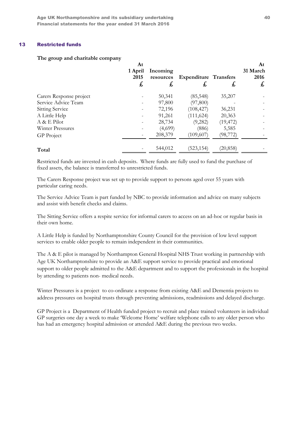#### 13 Restricted funds

#### The group and charitable company

|                         | At<br>1 April<br>2015<br>£, | Incoming<br>resources<br>£, | <b>Expenditure Transfers</b><br>£, | £,        | At<br>31 March<br>2016<br>£, |
|-------------------------|-----------------------------|-----------------------------|------------------------------------|-----------|------------------------------|
| Carers Response project |                             | 50,341                      | (85, 548)                          | 35,207    |                              |
| Service Advice Team     |                             | 97,800                      | (97,800)                           |           |                              |
| <b>Sitting Service</b>  |                             | 72,196                      | (108, 427)                         | 36,231    |                              |
| A Little Help           |                             | 91,261                      | (111, 624)                         | 20,363    |                              |
| A & E Pilot             |                             | 28,734                      | (9,282)                            | (19, 472) |                              |
| Winter Pressures        |                             | (4,699)                     | (886)                              | 5,585     |                              |
| GP Project              |                             | 208,379                     | (109,607)                          | (98, 772) |                              |
| Total                   |                             | 544,012                     | (523, 154)                         | (20, 858) |                              |

Restricted funds are invested in cash deposits. Where funds are fully used to fund the purchase of fixed assets, the balance is transferred to unrestricted funds.

The Carers Response project was set up to provide support to persons aged over 55 years with particular caring needs.

The Service Advice Team is part funded by NBC to provide information and advice on many subjects and assist with benefit checks and claims.

The Sitting Service offers a respite service for informal carers to access on an ad-hoc or regular basis in their own home.

A Little Help is funded by Northamptonshire County Council for the provision of low level support services to enable older people to remain independent in their communities.

The A & E pilot is managed by Northampton General Hospital NHS Trust working in partnership with Age UK Northamptonshire to provide an A&E support service to provide practical and emotional support to older people admitted to the A&E department and to support the professionals in the hospital by attending to patients non- medical needs.

Winter Pressures is a project to co-ordinate a response from existing A&E and Dementia projects to address pressures on hospital trusts through preventing admissions, readmissions and delayed discharge.

GP Project is a Department of Health funded project to recruit and place trained volunteers in individual GP surgeries one day a week to make 'Welcome Home' welfare telephone calls to any older person who has had an emergency hospital admission or attended A&E during the previous two weeks.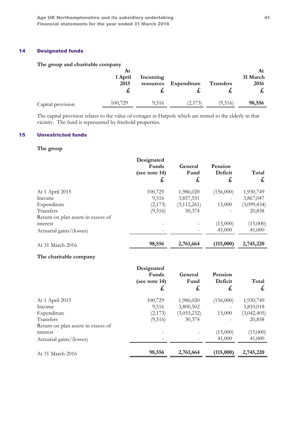### 14 Designated funds

### The group and charitable company

|                   | At<br>1 April<br>2015 | Incoming<br>resources | Expenditure | <b>Transfers</b> | At<br>31 March<br>2016<br>t, |
|-------------------|-----------------------|-----------------------|-------------|------------------|------------------------------|
| Capital provision | 100,729               | 9,516                 | (2,173)     | (9,516)          | 98,556                       |

The capital provision relates to the value of cottages in Harpole which are rented to the elderly in that vicinity. The fund is represented by freehold properties.

## 15 Unrestricted funds

#### The group

|                                    | Designated<br>Funds<br>(see note 14)<br>£, | General<br>Fund<br>£, | Pension<br>Deficit<br>$\mathbf{f}$ | Total<br>£, |
|------------------------------------|--------------------------------------------|-----------------------|------------------------------------|-------------|
| At 1 April 2015                    | 100,729                                    | 1,986,020             | (156,000)                          | 1,930,749   |
| Income                             | 9,516                                      | 3,857,531             |                                    | 3,867,047   |
| Expenditure                        | (2,173)                                    | (3, 112, 261)         | 15,000                             | (3,099,434) |
| Transfers                          | (9,516)                                    | 30,374                |                                    | 20,858      |
| Return on plan assets in excess of |                                            |                       |                                    |             |
| interest                           |                                            |                       | (15,000)                           | (15,000)    |
| Actuarial gains/(losses)           |                                            |                       | 41,000                             | 41,000      |
| At 31 March 2016                   | 98,556                                     | 2,761,664             | (115,000)                          | 2,745,220   |

### The charitable company

|                                    | Designated<br>Funds<br>(see note 14)<br>£ | General<br>Fund<br>£, | Pension<br>Deficit<br>£ | Total<br>£, |
|------------------------------------|-------------------------------------------|-----------------------|-------------------------|-------------|
| At 1 April 2015                    | 100,729                                   | 1,986,020             | (156,000)               | 1,930,749   |
| Income                             | 9,516                                     | 3,800,502             |                         | 3,810,018   |
| Expenditure                        | (2,173)                                   | (3,055,232)           | 15,000                  | (3,042,405) |
| Transfers                          | (9,516)                                   | 30,374                |                         | 20,858      |
| Return on plan assets in excess of |                                           |                       |                         |             |
| interest                           |                                           |                       | (15,000)                | (15,000)    |
| Actuarial gains/(losses)           |                                           |                       | 41,000                  | 41,000      |
| At 31 March 2016                   | 98,556                                    | 2,761,664             | (115,000)               | 2,745,220   |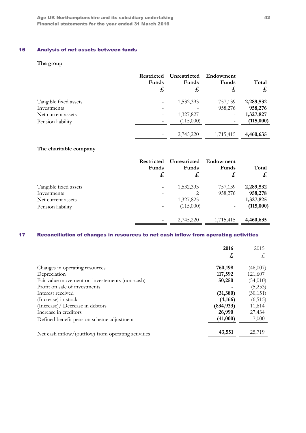## 16 Analysis of net assets between funds

## The group

|                       | <b>Restricted</b><br>Funds<br>£ | Unrestricted<br>Funds<br>£, | Endowment<br>Funds<br>£  | Total<br>£ |
|-----------------------|---------------------------------|-----------------------------|--------------------------|------------|
| Tangible fixed assets | -                               | 1,532,393                   | 757,139                  | 2,289,532  |
| Investments           | $\overline{\phantom{0}}$        |                             | 958,276                  | 958,276    |
| Net current assets    | -                               | 1,327,827                   |                          | 1,327,827  |
| Pension liability     | $\overline{\phantom{0}}$        | (115,000)                   | $\overline{\phantom{a}}$ | (115,000)  |
|                       |                                 | 2,745,220                   | 1,715,415                | 4,460,635  |

### The charitable company

|                       | <b>Restricted</b><br>Funds<br>£ | Unrestricted<br>Funds<br>£, | Endowment<br>Funds<br>£, | Total<br>$\boldsymbol{t}$ |
|-----------------------|---------------------------------|-----------------------------|--------------------------|---------------------------|
| Tangible fixed assets |                                 | 1,532,393                   | 757,139                  | 2,289,532                 |
| Investments           |                                 | 2                           | 958,276                  | 958,278                   |
| Net current assets    | -                               | 1,327,825                   |                          | 1,327,825                 |
| Pension liability     | $\overline{\phantom{0}}$        | (115,000)                   |                          | (115,000)                 |
|                       |                                 |                             |                          |                           |
|                       | -                               | 2,745,220                   | 1,715,415                | 4,460,635                 |

## 17 Reconciliation of changes in resources to net cash inflow from operating activities

|                                                                                                       | 2016<br>£,                       | 2015<br>£,                       |
|-------------------------------------------------------------------------------------------------------|----------------------------------|----------------------------------|
| Changes in operating resources<br>Depreciation<br>Fair value movement on investements (non-cash)      | 760,198<br>117,592<br>50,250     | (46,007)<br>121,607<br>(54,010)  |
| Profit on sale of investments<br>Interest received<br>(Increase) in stock                             | (31, 380)<br>(4,166)             | (5,253)<br>(30, 151)<br>(6, 515) |
| (Increase)/ Decrease in debtors<br>Increase in creditors<br>Defined benefit pension scheme adjustment | (834, 933)<br>26,990<br>(41,000) | 11,614<br>27,434<br>7,000        |
| Net cash inflow/(outflow) from operating activities                                                   | 43,551                           | 25,719                           |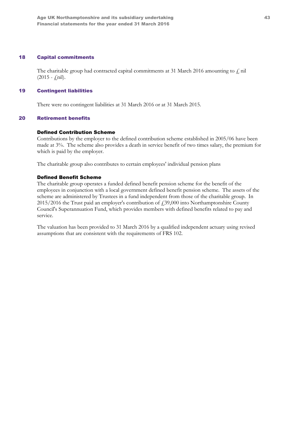#### 18 Capital commitments

The charitable group had contracted capital commitments at 31 March 2016 amounting to  $f$ , nil  $(2015 - \text{fnil}).$ 

#### 19 Contingent liabilities

There were no contingent liabilities at 31 March 2016 or at 31 March 2015.

#### 20 Retirement benefits

#### Defined Contribution Scheme

Contributions by the employer to the defined contribution scheme established in 2005/06 have been made at 3%. The scheme also provides a death in service benefit of two times salary, the premium for which is paid by the employer.

The charitable group also contributes to certain employees' individual pension plans

#### Defined Benefit Scheme

The charitable group operates a funded defined benefit pension scheme for the benefit of the employees in conjunction with a local government defined benefit pension scheme. The assets of the scheme are administered by Trustees in a fund independent from those of the charitable group. In 2015/2016 the Trust paid an employer's contribution of £39,000 into Northamptonshire County Council's Superannuation Fund, which provides members with defined benefits related to pay and service.

The valuation has been provided to 31 March 2016 by a qualified independent actuary using revised assumptions that are consistent with the requirements of FRS 102.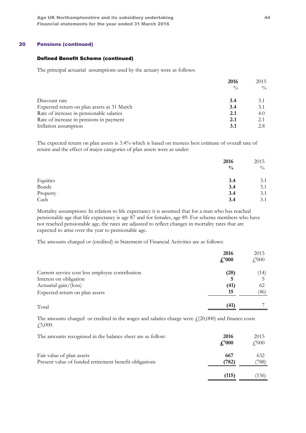### 20 Pensions (continued)

#### Defined Benefit Scheme (continued)

The principal actuarial assumptions used by the actuary were as follows:

|                                            | 2016          | 2015          |
|--------------------------------------------|---------------|---------------|
|                                            | $\frac{0}{0}$ | $\frac{0}{0}$ |
| Discount rate                              | 3.4           | 3.1           |
| Expected return on plan assets at 31 March | 3.4           | 3.1           |
| Rate of increase in pensionable salaries   | 2.1           | 4.0           |
| Rate of increase in pensions in payment    | 2.1           | 2.1           |
| Inflation assumption                       |               | 2.8           |

The expected return on plan assets is 3.4% which is based on trustees best estimate of overall rate of return and the effect of major categories of plan assets were as under:

|          | 2016          | 2015          |
|----------|---------------|---------------|
|          | $\frac{0}{0}$ | $\frac{0}{0}$ |
| Equities | 3.4           | 3.1           |
| Bonds    | 3.4           | 3.1           |
| Property | 3.4           | 3.1           |
| Cash     | 3.4           | 3.1           |

Mortality assumptions: In relation to life expectancy it is assumed that for a man who has reached pensionable age that life expectancy is age 87 and for females, age 89. For scheme members who have not reached pensionable age, the rates are adjusted to reflect changes in mortality rates that are expected to arise over the year to pensionable age.

The amounts charged or (credited) in Statement of Financial Activities are as follows:

|                                                 | 2016<br>$\textbf{\textsterling}1000$ | 2015<br>$\mathcal{L}$ <sup>'000</sup> |
|-------------------------------------------------|--------------------------------------|---------------------------------------|
| Current service cost less employee contribution | (20)                                 | (14)                                  |
| Interest on obligation                          |                                      |                                       |
| Actuarial gain/(loss)                           | (41)                                 | 62                                    |
| Expected return on plan assets                  | 15                                   | (46)                                  |
| Total                                           | (41)                                 |                                       |

The amounts charged or credited in the wages and salaries charge were  $f(20,000)$  and finance costs £5,000.

| The amounts recognised in the balance sheet are as follow:                          | 2016<br>f.'000 | 2015<br>$f'_{.}000$ |
|-------------------------------------------------------------------------------------|----------------|---------------------|
| Fair value of plan assets<br>Present value of funded retirement benefit obligations | 667<br>(782)   | 632<br>(788)        |
|                                                                                     | (115)          | (156)               |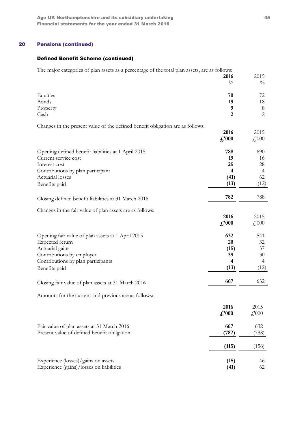## 20 Pensions (continued)

## Defined Benefit Scheme (continued)

The major categories of plan assets as a percentage of the total plan assets, are as follows:

|                                                                                | 2016                    | 2015                      |
|--------------------------------------------------------------------------------|-------------------------|---------------------------|
|                                                                                | $\frac{0}{0}$           | $\frac{0}{0}$             |
| Equities                                                                       | 70                      | 72                        |
| Bonds                                                                          | 19                      | 18                        |
| Property                                                                       | 9                       | $\,8\,$                   |
| Cash                                                                           | $\overline{2}$          | $\overline{c}$            |
|                                                                                |                         |                           |
| Changes in the present value of the defined benefit obligation are as follows: | 2016                    | 2015                      |
|                                                                                | $\pounds$ '000          | $\textcolor{red}{f}000$   |
|                                                                                |                         |                           |
| Opening defined benefit liabilities at 1 April 2015                            | 788                     | 690                       |
| Current service cost                                                           | 19                      | 16                        |
| Interest cost                                                                  | 25                      | 28                        |
| Contributions by plan participant                                              | $\overline{\mathbf{4}}$ | $\overline{4}$            |
| Actuarial losses                                                               | (41)                    | 62                        |
| Benefits paid                                                                  | (13)                    | (12)                      |
|                                                                                |                         |                           |
| Closing defined benefit liabilities at 31 March 2016                           | 782                     | 788                       |
| Changes in the fair value of plan assets are as follows:                       |                         |                           |
|                                                                                | 2016                    | 2015                      |
|                                                                                | $\pounds$ '000          | $\textcolor{red}{f}$ ,000 |
|                                                                                |                         |                           |
| Opening fair value of plan assets at 1 April 2015                              | 632                     | 541                       |
| Expected return                                                                | 20                      | 32                        |
| Actuarial gains                                                                | (15)                    | 37                        |
| Contributions by employer                                                      | 39                      | 30                        |
| Contributions by plan participants                                             | $\overline{4}$          | 4                         |
| Benefits paid                                                                  | (13)                    | (12)                      |
|                                                                                |                         |                           |
| Closing fair value of plan assets at 31 March 2016                             | 667                     | 632                       |
| Amounts for the current and previous are as follows:                           |                         |                           |
|                                                                                |                         |                           |
|                                                                                | 2016                    | 2015                      |
|                                                                                | $\pounds$ '000          | $\textcolor{red}{f}$ ,000 |
| Fair value of plan assets at 31 March 2016                                     | 667                     | 632                       |
| Present value of defined benefit obligation                                    | (782)                   | (788)                     |
|                                                                                |                         |                           |
|                                                                                | (115)                   | (156)                     |
| Experience (losses)/gains on assets                                            |                         | 46                        |
| Experience (gains)/losses on liabilities                                       | (15)<br>(41)            | 62                        |
|                                                                                |                         |                           |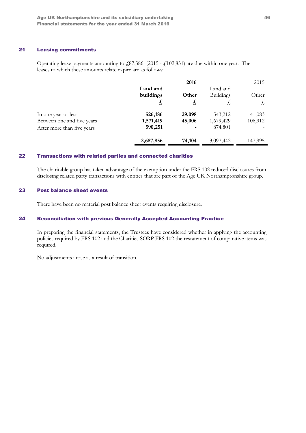### 21 Leasing commitments

Operating lease payments amounting to £87,386 (2015 - £102,831) are due within one year. The leases to which these amounts relate expire are as follows:

|                            |           | 2016   |                  | 2015    |
|----------------------------|-----------|--------|------------------|---------|
|                            | Land and  |        | Land and         |         |
|                            | buildings | Other  | <b>Buildings</b> | Other   |
|                            | £,        | £      | £,               | £       |
| In one year or less        | 526,186   | 29,098 | 543,212          | 41,083  |
| Between one and five years | 1,571,419 | 45,006 | 1,679,429        | 106,912 |
| After more than five years | 590,251   |        | 874,801          |         |
|                            | 2,687,856 | 74,104 | 3,097,442        | 147,995 |

#### 22 Transactions with related parties and connected charities

The charitable group has taken advantage of the exemption under the FRS 102 reduced disclosures from disclosing related party transactions with entities that are part of the Age UK Northamptonshire group.

#### 23 Post balance sheet events

There have been no material post balance sheet events requiring disclosure.

#### 24 Reconciliation with previous Generally Accepted Accounting Practice

In preparing the financial statements, the Trustees have considered whether in applying the accounting policies required by FRS 102 and the Charities SORP FRS 102 the restatement of comparative items was required.

No adjustments arose as a result of transition.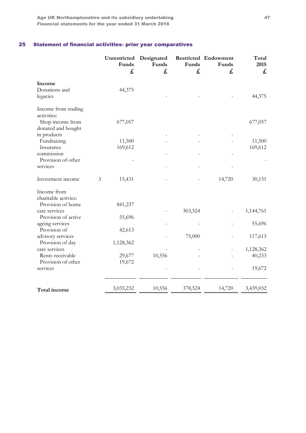## 25 Statement of financial activities- prior year comparatives

|                                        | Unrestricted<br>Funds<br>£ | Designated<br>Funds<br>£, | Funds<br>£, | Restricted Endowment<br>Funds<br>£, | Total<br>2015<br>£ |
|----------------------------------------|----------------------------|---------------------------|-------------|-------------------------------------|--------------------|
| Income                                 |                            |                           |             |                                     |                    |
| Donations and<br>legacies              | 44,375                     |                           |             |                                     | 44,375             |
| Income from trading<br>activities:     |                            |                           |             |                                     |                    |
| Shop income from<br>donated and bought | 677,057                    |                           |             |                                     | 677,057            |
| in products                            |                            |                           |             |                                     |                    |
| Fundraising                            | 11,500                     |                           |             |                                     | 11,500             |
| Insurance                              | 169,612                    |                           |             |                                     | 169,612            |
| commission                             |                            |                           |             |                                     |                    |
| Provision of other                     |                            |                           |             |                                     |                    |
| services                               |                            |                           |             |                                     |                    |
| Investment income                      | 3<br>15,431                |                           |             | 14,720                              | 30,151             |
| Income from                            |                            |                           |             |                                     |                    |
| charitable activies:                   |                            |                           |             |                                     |                    |
| Provision of home                      | 841,237                    |                           |             |                                     |                    |
| care services                          |                            |                           | 303,524     |                                     | 1,144,761          |
| Provision of active                    | 55,696                     |                           |             |                                     |                    |
| ageing services<br>Provision of        |                            |                           |             |                                     | 55,696             |
|                                        | 42,613                     |                           | 75,000      |                                     | 117,613            |
| advisory services<br>Provision of day  | 1,128,362                  |                           |             |                                     |                    |
| care services                          |                            |                           |             |                                     | 1,128,362          |
| Rents receivable                       | 29,677                     | 10,556                    |             |                                     | 40,233             |
| Provision of other                     | 19,672                     |                           |             |                                     |                    |
| services                               |                            |                           |             |                                     | 19,672             |
|                                        |                            |                           |             |                                     |                    |
| Total income                           | 3,035,232                  | 10,556                    | 378,524     | 14,720                              | 3,439,032          |